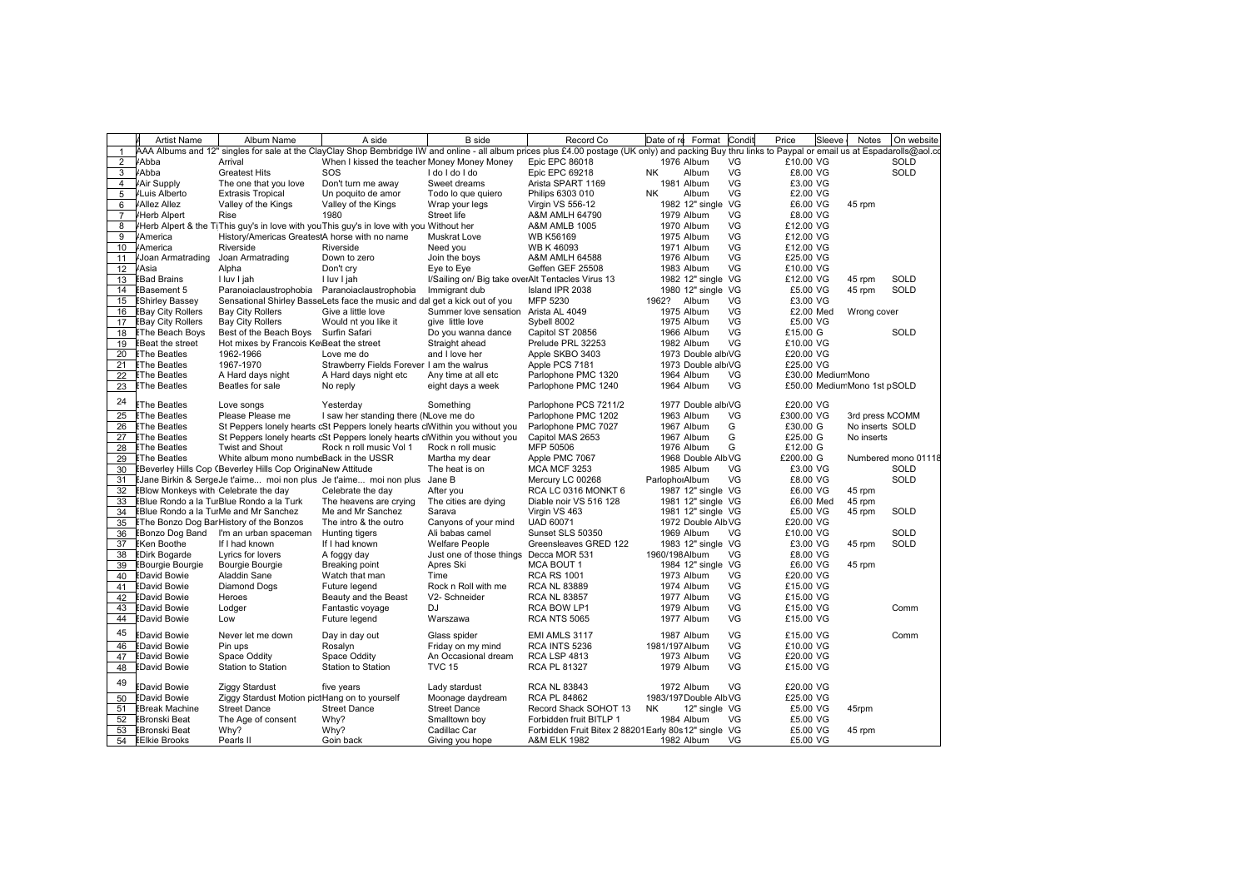|                | <b>Artist Name</b>                          | Album Name                                                  | A side                                                                                 | <b>B</b> side                                     | Record Co                                                                                                                                                                                               | Date of re Format Condit |     | Sleeve<br>Price             | Notes           | On website          |
|----------------|---------------------------------------------|-------------------------------------------------------------|----------------------------------------------------------------------------------------|---------------------------------------------------|---------------------------------------------------------------------------------------------------------------------------------------------------------------------------------------------------------|--------------------------|-----|-----------------------------|-----------------|---------------------|
| $\mathbf{1}$   |                                             |                                                             |                                                                                        |                                                   | AAA Albums and 12" singles for sale at the ClayClay Shop Bembridge IW and online - all album prices plus £4.00 postage (UK only) and packing Buy thru links to Paypal or email us at Espadarolls@aol.co |                          |     |                             |                 |                     |
| 2              | <b>Abba</b>                                 | Arrival                                                     | When I kissed the teacher Money Money Money                                            |                                                   | Epic EPC 86018                                                                                                                                                                                          | 1976 Album               | VG  | £10.00 VG                   |                 | SOLD                |
| 3              | <b>Abba</b>                                 | <b>Greatest Hits</b>                                        | SOS                                                                                    | I do I do I do                                    | Epic EPC 69218                                                                                                                                                                                          | <b>NK</b><br>Album       | VG  | £8.00 VG                    |                 | SOLD                |
| $\overline{4}$ | Air Supply                                  | The one that you love                                       | Don't turn me away                                                                     | Sweet dreams                                      | Arista SPART 1169                                                                                                                                                                                       | 1981 Album               | VG  | £3.00 VG                    |                 |                     |
| 5              | /Luis Alberto                               | <b>Extrasis Tropical</b>                                    | Un poquito de amor                                                                     | Todo lo que quiero                                | Philips 6303 010                                                                                                                                                                                        | Album<br><b>NK</b>       | VG  | £2.00 VG                    |                 |                     |
| 6              | <b>Allez Allez</b>                          | Valley of the Kings                                         | Valley of the Kings                                                                    | Wrap your legs                                    | Virgin VS 556-12                                                                                                                                                                                        | 1982 12" single VG       |     | £6.00 VG                    | 45 rpm          |                     |
| $\overline{7}$ | <b>Herb Alpert</b>                          | Rise                                                        | 1980                                                                                   | Street life                                       | A&M AMLH 64790                                                                                                                                                                                          | 1979 Album               | VG  | £8.00 VG                    |                 |                     |
| 8              |                                             |                                                             | Herb Alpert & the TiThis guy's in love with youThis guy's in love with you Without her |                                                   | <b>A&amp;M AMLB 1005</b>                                                                                                                                                                                | 1970 Album               | VG  | £12.00 VG                   |                 |                     |
| 9              | <b>America</b>                              | History/Americas GreatestA horse with no name               |                                                                                        | <b>Muskrat Love</b>                               | <b>WB K56169</b>                                                                                                                                                                                        | 1975 Album               | VG  | £12.00 VG                   |                 |                     |
| 10             | America                                     | Riverside                                                   | Riverside                                                                              | Need you                                          | <b>WB K46093</b>                                                                                                                                                                                        | 1971 Album               | VG  | £12.00 VG                   |                 |                     |
| 11             | Joan Armatrading                            | Joan Armatrading                                            | Down to zero                                                                           | Join the boys                                     | A&M AMLH 64588                                                                                                                                                                                          | 1976 Album               | VG  | £25.00 VG                   |                 |                     |
| 12             | /Asia                                       | Alpha                                                       | Don't cry                                                                              | Eye to Eye                                        | Geffen GEF 25508                                                                                                                                                                                        | 1983 Album               | VG  | £10.00 VG                   |                 |                     |
| 13             | <b>EBad Brains</b>                          | I luv I jah                                                 | I luv I jah                                                                            | I/Sailing on/ Big take overAlt Tentacles Virus 13 |                                                                                                                                                                                                         | 1982 12" single VG       |     | £12.00 VG                   | 45 rpm          | SOLD                |
| 14             | <b>EBasement 5</b>                          | Paranoiaclaustrophobia Paranoiaclaustrophobia               |                                                                                        | Immigrant dub                                     | Island IPR 2038                                                                                                                                                                                         | 1980 12" single VG       |     | £5.00 VG                    | 45 rpm          | SOLD                |
| 15             | <b>EShirley Bassey</b>                      |                                                             | Sensational Shirley BasseLets face the music and dal get a kick out of you             |                                                   | MFP 5230                                                                                                                                                                                                | 1962?<br>Album           | VG  | £3.00 VG                    |                 |                     |
|                | <b>EBay City Rollers</b>                    | <b>Bay City Rollers</b>                                     | Give a little love                                                                     | Summer love sensation Arista AL 4049              |                                                                                                                                                                                                         | 1975 Album               | VG  | £2.00 Med                   | Wrong cover     |                     |
| 16<br>17       |                                             |                                                             |                                                                                        | give little love                                  |                                                                                                                                                                                                         |                          | VG  | £5.00 VG                    |                 |                     |
|                | <b>EBay City Rollers</b>                    | <b>Bay City Rollers</b>                                     | Would nt you like it                                                                   |                                                   | Sybell 8002                                                                                                                                                                                             | 1975 Album               | VG  |                             |                 |                     |
| 18             | <b>EThe Beach Boys</b>                      | Best of the Beach Boys Surfin Safari                        |                                                                                        | Do you wanna dance                                | Capitol ST 20856                                                                                                                                                                                        | 1966 Album               |     | £15.00 G                    |                 | <b>SOLD</b>         |
| 19             | <b>EBeat the street</b>                     | Hot mixes by Francois Ke\Beat the street                    |                                                                                        | Straight ahead                                    | Prelude PRL 32253                                                                                                                                                                                       | 1982 Album               | VG  | £10.00 VG                   |                 |                     |
| 20             | <b>EThe Beatles</b>                         | 1962-1966                                                   | Love me do                                                                             | and I love her                                    | Apple SKBO 3403                                                                                                                                                                                         | 1973 Double albiVG       |     | £20.00 VG                   |                 |                     |
| 21             | <b>EThe Beatles</b>                         | 1967-1970                                                   | Strawberry Fields Forever I am the walrus                                              |                                                   | Apple PCS 7181                                                                                                                                                                                          | 1973 Double albiVG       |     | £25.00 VG                   |                 |                     |
| 22             | <b>EThe Beatles</b>                         | A Hard days night                                           | A Hard days night etc                                                                  | Any time at all etc                               | Parlophone PMC 1320                                                                                                                                                                                     | 1964 Album               | VG  | £30.00 MediumMono           |                 |                     |
| 23             | <b>EThe Beatles</b>                         | Beatles for sale                                            | No reply                                                                               | eight days a week                                 | Parlophone PMC 1240                                                                                                                                                                                     | 1964 Album               | VG. | £50.00 MediumMono 1st pSOLD |                 |                     |
| 24             | <b>EThe Beatles</b>                         | Love songs                                                  | Yesterday                                                                              | Something                                         | Parlophone PCS 7211/2                                                                                                                                                                                   | 1977 Double albiVG       |     | £20.00 VG                   |                 |                     |
| 25             | <b>EThe Beatles</b>                         | Please Please me                                            | I saw her standing there (NLove me do                                                  |                                                   | Parlophone PMC 1202                                                                                                                                                                                     | 1963 Album               | VG  | £300.00 VG                  | 3rd press NCOMM |                     |
| 26             | <b>EThe Beatles</b>                         |                                                             | St Peppers lonely hearts cSt Peppers lonely hearts clWithin you without you            |                                                   | Parlophone PMC 7027                                                                                                                                                                                     | 1967 Album               | G   | £30.00 G                    | No inserts SOLD |                     |
| 27             | <b>EThe Beatles</b>                         |                                                             | St Peppers lonely hearts cSt Peppers lonely hearts clWithin you without you            |                                                   | Capitol MAS 2653                                                                                                                                                                                        | 1967 Album               | G   | £25.00 G                    | No inserts      |                     |
| 28             | <b>EThe Beatles</b>                         | <b>Twist and Shout</b>                                      | Rock n roll music Vol 1                                                                | Rock n roll music                                 | MFP 50506                                                                                                                                                                                               | 1976 Album               | G   | £12.00 G                    |                 |                     |
| 29             | <b>EThe Beatles</b>                         | White album mono numbeBack in the USSR                      |                                                                                        | Martha my dear                                    | Apple PMC 7067                                                                                                                                                                                          | 1968 Double AlbVG        |     | £200.00 G                   |                 | Numbered mono 01118 |
| 30             |                                             | EBeverley Hills Cop (Beverley Hills Cop OriginaNew Attitude |                                                                                        | The heat is on                                    | <b>MCA MCF 3253</b>                                                                                                                                                                                     | 1985 Album               | VG  | £3.00 VG                    |                 | <b>SOLD</b>         |
| 31             |                                             |                                                             | EJane Birkin & SergeJe t'aime moi non plus Je t'aime moi non plus Jane B               |                                                   | Mercury LC 00268                                                                                                                                                                                        | ParlophoiAlbum           | VG  | £8.00 VG                    |                 | SOLD                |
| 32             | <b>EBlow Monkeys with Celebrate the day</b> |                                                             | Celebrate the day                                                                      | After you                                         | RCA LC 0316 MONKT 6                                                                                                                                                                                     | 1987 12" single VG       |     | £6.00 VG                    | 45 rpm          |                     |
| 33             |                                             | EBlue Rondo a la TurBlue Rondo a la Turk                    | The heavens are crying                                                                 | The cities are dying                              | Diable noir VS 516 128                                                                                                                                                                                  | 1981 12" single VG       |     | £6.00 Med                   | 45 rpm          |                     |
| 34             |                                             | EBlue Rondo a la TurMe and Mr Sanchez                       | Me and Mr Sanchez                                                                      | Sarava                                            | Virgin VS 463                                                                                                                                                                                           | 1981 12" single VG       |     | £5.00 VG                    | 45 rpm          | SOLD                |
| 35             |                                             | EThe Bonzo Dog BarHistory of the Bonzos                     | The intro & the outro                                                                  | Canyons of your mind                              | <b>UAD 60071</b>                                                                                                                                                                                        | 1972 Double AlbVG        |     | £20.00 VG                   |                 |                     |
|                |                                             | EBonzo Dog Band I'm an urban spaceman                       |                                                                                        | Ali babas camel                                   | Sunset SLS 50350                                                                                                                                                                                        | 1969 Album               | VG  | £10.00 VG                   |                 | SOLD                |
| 36             | <b>EKen Boothe</b>                          | If I had known                                              | Hunting tigers                                                                         | <b>Welfare People</b>                             |                                                                                                                                                                                                         |                          |     |                             |                 | SOLD                |
| 37<br>38       |                                             |                                                             | If I had known                                                                         |                                                   | Greensleaves GRED 122                                                                                                                                                                                   | 1983 12" single VG       | VG  | £3.00 VG                    | 45 rpm          |                     |
|                | <b>EDirk Bogarde</b>                        | Lyrics for lovers                                           | A foggy day                                                                            | Just one of those things                          | Decca MOR 531                                                                                                                                                                                           | 1960/198Album            |     | £8.00 VG                    |                 |                     |
| 39             | <b>EBourgie Bourgie</b>                     | Bourgie Bourgie                                             | Breaking point                                                                         | Apres Ski                                         | MCA BOUT 1                                                                                                                                                                                              | 1984 12" single VG       |     | £6.00 VG                    | 45 rpm          |                     |
| 40             | <b>EDavid Bowie</b>                         | Aladdin Sane                                                | Watch that man                                                                         | Time                                              | <b>RCA RS 1001</b>                                                                                                                                                                                      | 1973 Album               | VG  | £20.00 VG                   |                 |                     |
| 41             | <b>EDavid Bowie</b>                         | Diamond Dogs                                                | Future legend                                                                          | Rock n Roll with me                               | <b>RCA NL 83889</b>                                                                                                                                                                                     | 1974 Album               | VG  | £15.00 VG                   |                 |                     |
| 42             | <b>EDavid Bowie</b>                         | Heroes                                                      | Beauty and the Beast                                                                   | V2- Schneider                                     | <b>RCA NL 83857</b>                                                                                                                                                                                     | 1977 Album               | VG  | £15.00 VG                   |                 |                     |
| 43             | <b>EDavid Bowie</b>                         | Lodger                                                      | Fantastic voyage                                                                       | <b>DJ</b>                                         | RCA BOW LP1                                                                                                                                                                                             | 1979 Album               | VG  | £15.00 VG                   |                 | Comm                |
| 44             | <b>EDavid Bowie</b>                         | Low                                                         | Future legend                                                                          | Warszawa                                          | <b>RCA NTS 5065</b>                                                                                                                                                                                     | 1977 Album               | VG  | £15.00 VG                   |                 |                     |
| 45             | <b>EDavid Bowie</b>                         | Never let me down                                           | Day in day out                                                                         | Glass spider                                      | EMI AMLS 3117                                                                                                                                                                                           | 1987 Album               | VG  | £15.00 VG                   |                 | Comm                |
| 46             | <b>EDavid Bowie</b>                         | Pin ups                                                     | Rosalyn                                                                                | Friday on my mind                                 | RCA INTS 5236                                                                                                                                                                                           | 1981/197Album            | VG  | £10.00 VG                   |                 |                     |
| 47             | <b>EDavid Bowie</b>                         | Space Oddity                                                | Space Oddity                                                                           | An Occasional dream                               | <b>RCA LSP 4813</b>                                                                                                                                                                                     | 1973 Album               | VG  | £20.00 VG                   |                 |                     |
| 48             | <b>EDavid Bowie</b>                         | <b>Station to Station</b>                                   | Station to Station                                                                     | <b>TVC 15</b>                                     | RCA PL 81327                                                                                                                                                                                            | 1979 Album               | VG. | £15.00 VG                   |                 |                     |
| 49             | <b>EDavid Bowie</b>                         | <b>Ziggy Stardust</b>                                       | five years                                                                             | Lady stardust                                     | <b>RCA NL 83843</b>                                                                                                                                                                                     | 1972 Album               | VG  | £20.00 VG                   |                 |                     |
| 50             | <b>EDavid Bowie</b>                         | Ziggy Stardust Motion pictHang on to yourself               |                                                                                        | Moonage daydream                                  | <b>RCA PL 84862</b>                                                                                                                                                                                     | 1983/197 Double AlbVG    |     | £25.00 VG                   |                 |                     |
| 51             | <b>EBreak Machine</b>                       | <b>Street Dance</b>                                         | <b>Street Dance</b>                                                                    | <b>Street Dance</b>                               | Record Shack SOHOT 13                                                                                                                                                                                   | NΚ<br>12" single VG      |     | £5.00 VG                    | 45rpm           |                     |
| 52             | <b>EBronski Beat</b>                        | The Age of consent                                          | Why?                                                                                   | Smalltown boy                                     | Forbidden fruit BITLP 1                                                                                                                                                                                 | 1984 Album               | VG  | £5.00 VG                    |                 |                     |
| 53             | <b>EBronski Beat</b>                        | Why?                                                        | Why?                                                                                   | Cadillac Car                                      | Forbidden Fruit Bitex 2 88201 Early 80s 12" single VG                                                                                                                                                   |                          |     | £5.00 VG                    | 45 rpm          |                     |
| 54             | <b>EEIkie Brooks</b>                        | Pearls II                                                   | Goin back                                                                              | Giving you hope                                   | A&M ELK 1982                                                                                                                                                                                            | 1982 Album               | VG  | £5.00 VG                    |                 |                     |
|                |                                             |                                                             |                                                                                        |                                                   |                                                                                                                                                                                                         |                          |     |                             |                 |                     |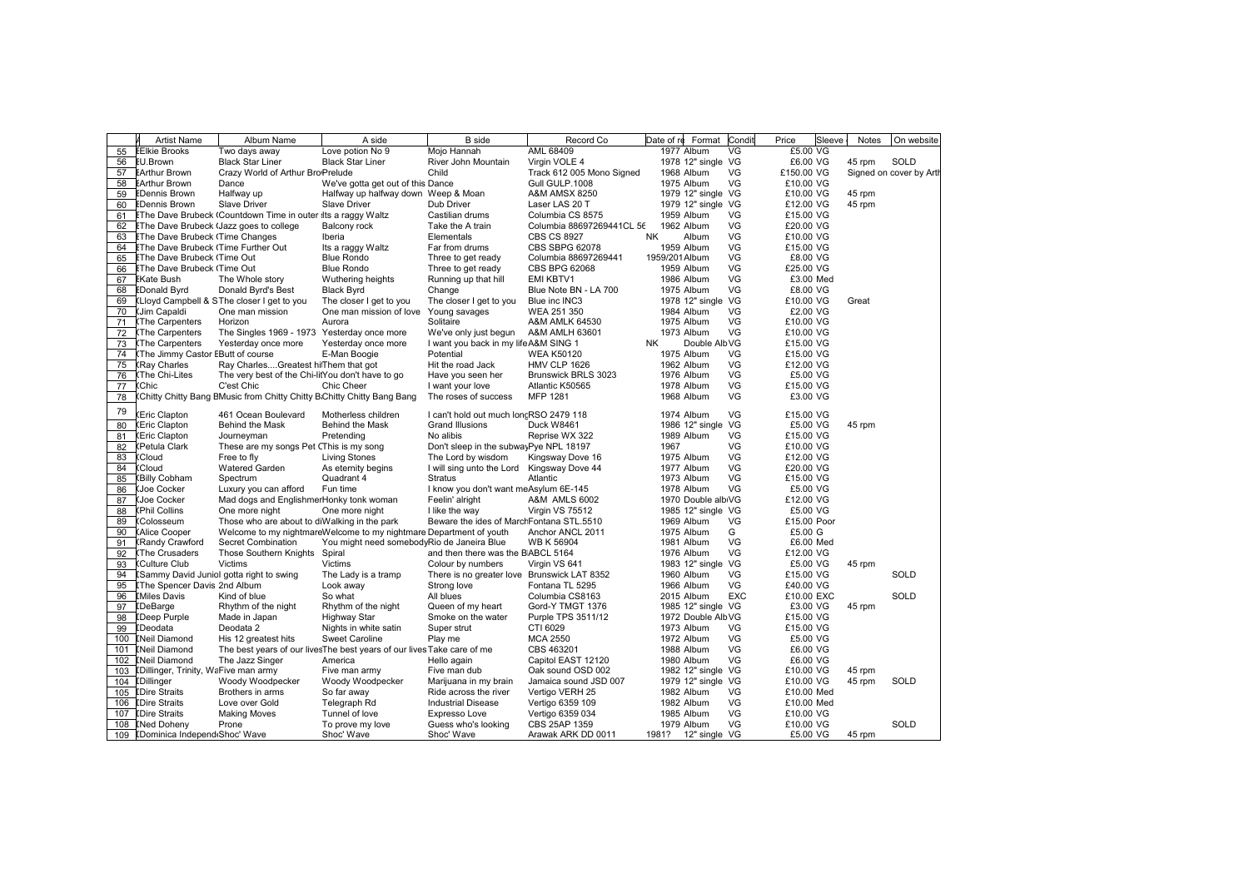|     | <b>Artist Name</b>                         | Album Name                                                             | A side                                                                  | <b>B</b> side                               | Record Co                 | Format<br>Date of re      | Condit     | Price       | Sleeve | Notes  | On website              |
|-----|--------------------------------------------|------------------------------------------------------------------------|-------------------------------------------------------------------------|---------------------------------------------|---------------------------|---------------------------|------------|-------------|--------|--------|-------------------------|
| 55  | <b>EEIkie Brooks</b>                       | Two days away                                                          | Love potion No 9                                                        | Mojo Hannah                                 | AML 68409                 | 1977 Album                | VG         | £5.00 VG    |        |        |                         |
| 56  | <b>EU.Brown</b>                            | <b>Black Star Liner</b>                                                | <b>Black Star Liner</b>                                                 | River John Mountain                         | Virgin VOLE 4             | 1978 12" single VG        |            | £6.00 VG    |        | 45 rpm | SOLD                    |
| 57  | <b>EArthur Brown</b>                       | Crazy World of Arthur Bro Prelude                                      |                                                                         | Child                                       | Track 612 005 Mono Signed | 1968 Album                | VG         | £150.00 VG  |        |        | Signed on cover by Arth |
| 58  | <b>EArthur Brown</b>                       | Dance                                                                  | We've gotta get out of this Dance                                       |                                             | Gull GULP.1008            | 1975 Album                | VG         | £10.00 VG   |        |        |                         |
| 59  | <b>EDennis Brown</b>                       | Halfway up                                                             | Halfway up halfway down Weep & Moan                                     |                                             | <b>A&amp;M AMSX 8250</b>  | 1979 12" single VG        |            | £10.00 VG   |        | 45 rpm |                         |
| 60  | <b>EDennis Brown</b>                       | <b>Slave Driver</b>                                                    | <b>Slave Driver</b>                                                     | Dub Driver                                  | Laser LAS 20 T            | 1979 12" single VG        |            | £12.00 VG   |        | 45 rpm |                         |
| 61  |                                            | EThe Dave Brubeck (Countdown Time in outer Its a raggy Waltz           |                                                                         | Castilian drums                             | Columbia CS 8575          | 1959 Album                | VG         | £15.00 VG   |        |        |                         |
| 62  |                                            | <b>EThe Dave Brubeck (Jazz goes to college</b>                         | Balcony rock                                                            | Take the A train                            | Columbia 88697269441CL 56 | 1962 Album                | VG         | £20.00 VG   |        |        |                         |
| 63  | <b>EThe Dave Brubeck (Time Changes</b>     |                                                                        | Iberia                                                                  | Elementals                                  | <b>CBS CS 8927</b>        | <b>NK</b><br>Album        | VG         | £10.00 VG   |        |        |                         |
| 64  | <b>EThe Dave Brubeck (Time Further Out</b> |                                                                        | Its a raggy Waltz                                                       | Far from drums                              | CBS SBPG 62078            | 1959 Album                | VG         | £15.00 VG   |        |        |                         |
| 65  | <b>EThe Dave Brubeck (Time Out</b>         |                                                                        | <b>Blue Rondo</b>                                                       | Three to get ready                          | Columbia 88697269441      | 1959/201Album             | VG         | £8.00 VG    |        |        |                         |
| 66  | <b>EThe Dave Brubeck (Time Out</b>         |                                                                        | <b>Blue Rondo</b>                                                       | Three to get ready                          | CBS BPG 62068             | 1959 Album                | VG         | £25.00 VG   |        |        |                         |
| 67  | <b>EKate Bush</b>                          | The Whole story                                                        | Wuthering heights                                                       | Running up that hill                        | EMI KBTV1                 | 1986 Album                | VG         | £3.00 Med   |        |        |                         |
| 68  | <b>EDonald Byrd</b>                        | Donald Byrd's Best                                                     | <b>Black Byrd</b>                                                       | Change                                      | Blue Note BN - LA 700     | 1975 Album                | VG         | £8.00 VG    |        |        |                         |
| 69  |                                            | (Lloyd Campbell & SThe closer I get to you                             | The closer I get to you                                                 | The closer I get to you                     | Blue inc INC3             | 1978 12" single VG        |            | £10.00 VG   |        | Great  |                         |
| 70  | <b>(Jim Capaldi</b>                        | One man mission                                                        | One man mission of love                                                 | Young savages                               | WEA 251 350               | 1984 Album                | VG         | £2.00 VG    |        |        |                         |
| 71  | <b>The Carpenters</b>                      | Horizon                                                                | Aurora                                                                  | Solitaire                                   | A&M AMLK 64530            | 1975 Album                | VG         | £10.00 VG   |        |        |                         |
| 72  | <b>(The Carpenters</b>                     | The Singles 1969 - 1973 Yesterday once more                            |                                                                         | We've only just begun                       | A&M AMLH 63601            | 1973 Album                | VG         | £10.00 VG   |        |        |                         |
| 73  | The Carpenters                             | Yesterday once more                                                    | Yesterday once more                                                     | I want you back in my life A&M SING 1       |                           | Double AlbVG<br><b>NK</b> |            | £15,00 VG   |        |        |                         |
| 74  | The Jimmy Castor EButt of course           |                                                                        | E-Man Boogie                                                            | Potential                                   | <b>WEA K50120</b>         | 1975 Album                | VG         | £15.00 VG   |        |        |                         |
| 75  | (Ray Charles                               | Ray CharlesGreatest hiThem that got                                    |                                                                         | Hit the road Jack                           | <b>HMV CLP 1626</b>       | 1962 Album                | VG         | £12.00 VG   |        |        |                         |
| 76  | The Chi-Lites)                             | The very best of the Chi-litYou don't have to go                       |                                                                         | Have you seen her                           | Brunswick BRLS 3023       | 1976 Album                | VG         | £5.00 VG    |        |        |                         |
| 77  | (Chic                                      | C'est Chic                                                             | <b>Chic Cheer</b>                                                       | I want your love                            | Atlantic K50565           | 1978 Album                | VG         | £15.00 VG   |        |        |                         |
| 78  |                                            | Chitty Chitty Bang EMusic from Chitty Chitty B:Chitty Chitty Bang Bang |                                                                         | The roses of success                        | MFP 1281                  | 1968 Album                | VG         | £3.00 VG    |        |        |                         |
|     |                                            |                                                                        |                                                                         |                                             |                           |                           |            |             |        |        |                         |
| 79  | Eric Clapton                               | 461 Ocean Boulevard                                                    | Motherless children                                                     | I can't hold out much loncRSO 2479 118      |                           | 1974 Album                | VG         | £15.00 VG   |        |        |                         |
| 80  | (Eric Clapton                              | Behind the Mask                                                        | Behind the Mask                                                         | Grand Illusions                             | Duck W8461                | 1986 12" single VG        |            | £5.00 VG    |        | 45 rpm |                         |
| 81  | (Eric Clapton                              | Journeyman                                                             | Pretending                                                              | No alibis                                   | Reprise WX 322            | 1989 Album                | VG         | £15.00 VG   |        |        |                         |
| 82  | (Petula Clark                              | These are my songs Pet CThis is my song                                |                                                                         | Don't sleep in the subwayPye NPL 18197      |                           | 1967                      | VG         | £10.00 VG   |        |        |                         |
| 83  | (Cloud                                     | Free to fly                                                            | <b>Living Stones</b>                                                    | The Lord by wisdom                          | Kingsway Dove 16          | 1975 Album                | VG         | £12.00 VG   |        |        |                         |
| 84  | (Cloud                                     | <b>Watered Garden</b>                                                  | As eternity begins                                                      | I will sing unto the Lord Kingsway Dove 44  |                           | 1977 Album                | VG         | £20.00 VG   |        |        |                         |
| 85  | (Billy Cobham                              | Spectrum                                                               | Quadrant 4                                                              | <b>Stratus</b>                              | Atlantic                  | 1973 Album                | VG         | £15.00 VG   |        |        |                         |
| 86  | (Joe Cocker                                | Luxury you can afford                                                  | Fun time                                                                | I know you don't want meAsylum 6E-145       |                           | 1978 Album                | VG         | £5.00 VG    |        |        |                         |
| 87  | <b>(Joe Cocker</b>                         | Mad dogs and EnglishmerHonky tonk woman                                |                                                                         | Feelin' alright                             | A&M AMLS 6002             | 1970 Double albiVG        |            | £12.00 VG   |        |        |                         |
| 88  | (Phil Collins                              | One more night                                                         | One more night                                                          | I like the way                              | Virgin VS 75512           | 1985 12" single VG        |            | £5.00 VG    |        |        |                         |
| 89  | <b>Colosseum</b>                           | Those who are about to diWalking in the park                           |                                                                         | Beware the ides of MarchFontana STL.5510    |                           | 1969 Album                | VG         | £15.00 Poor |        |        |                         |
| 90  | <b>(Alice Cooper</b>                       |                                                                        | Welcome to my nightmareWelcome to my nightmare Department of youth      |                                             | Anchor ANCL 2011          | 1975 Album                | G          | £5.00 G     |        |        |                         |
| 91  | (Randy Crawford                            | Secret Combination                                                     | You might need somebodyRio de Janeira Blue                              |                                             | <b>WB K 56904</b>         | 1981 Album                | VG         | £6.00 Med   |        |        |                         |
| 92  | <b>(The Crusaders</b>                      | Those Southern Knights Spiral                                          |                                                                         | and then there was the BABCL 5164           |                           | 1976 Album                | VG         | £12.00 VG   |        |        |                         |
| 93  | Culture Club                               | Victims                                                                | Victims                                                                 | Colour by numbers                           | Virgin VS 641             | 1983 12" single VG        |            | £5.00 VG    |        | 45 rpm |                         |
| 94  |                                            | Sammy David Juniol gotta right to swing                                | The Lady is a tramp                                                     | There is no greater love Brunswick LAT 8352 |                           | 1960 Album                | VG         | £15.00 VG   |        |        | SOLD                    |
| 95  | <b>IThe Spencer Davis 2nd Album</b>        |                                                                        | Look away                                                               | Strong love                                 | Fontana TL 5295           | 1966 Album                | VG         | £40.00 VG   |        |        |                         |
| 96  | <b>IMiles Davis</b>                        | Kind of blue                                                           | So what                                                                 | All blues                                   | Columbia CS8163           | 2015 Album                | <b>EXC</b> | £10.00 EXC  |        |        | SOLD                    |
| 97  | <b>IDeBarge</b>                            | Rhythm of the night                                                    | Rhythm of the night                                                     | Queen of my heart                           | Gord-Y TMGT 1376          | 1985 12" single VG        |            | £3.00 VG    |        | 45 rpm |                         |
| 98  | <b>IDeep Purple</b>                        | Made in Japan                                                          | Highway Star                                                            | Smoke on the water                          | Purple TPS 3511/12        | 1972 Double AlbVG         |            | £15.00 VG   |        |        |                         |
| 99  | <b>IDeodata</b>                            | Deodata 2                                                              | Nights in white satin                                                   | Super strut                                 | CTI 6029                  | 1973 Album                | VG         | £15.00 VG   |        |        |                         |
| 100 | <b>INeil Diamond</b>                       | His 12 greatest hits                                                   | <b>Sweet Caroline</b>                                                   | Play me                                     | <b>MCA 2550</b>           | 1972 Album                | VG         | £5.00 VG    |        |        |                         |
| 101 | [Neil Diamond                              |                                                                        | The best years of our lives The best years of our lives Take care of me |                                             | CBS 463201                | 1988 Album                | VG         | £6.00 VG    |        |        |                         |
| 102 | <b>INeil Diamond</b>                       | The Jazz Singer                                                        | America                                                                 | Hello again                                 | Capitol EAST 12120        | 1980 Album                | VG         | £6.00 VG    |        |        |                         |
| 103 | [Dillinger, Trinity, WaFive man army       |                                                                        | Five man army                                                           | Five man dub                                | Oak sound OSD 002         | 1982 12" single VG        |            | £10.00 VG   |        | 45 rpm |                         |
| 104 | <b>[Dillinger</b>                          | Woody Woodpecker                                                       | Woody Woodpecker                                                        | Marijuana in my brain                       | Jamaica sound JSD 007     | 1979 12" single VG        |            | £10.00 VG   |        | 45 rpm | SOLD                    |
| 105 | <b>IDire Straits</b>                       | Brothers in arms                                                       | So far away                                                             | Ride across the river                       | Vertigo VERH 25           | 1982 Album                | VG         | £10.00 Med  |        |        |                         |
| 106 | <b>IDire Straits</b>                       | Love over Gold                                                         | Telegraph Rd                                                            | <b>Industrial Disease</b>                   | Vertigo 6359 109          | 1982 Album                | VG         | £10.00 Med  |        |        |                         |
| 107 | <b>IDire Straits</b>                       | <b>Making Moves</b>                                                    | Tunnel of love                                                          | Expresso Love                               | Vertigo 6359 034          | 1985 Album                | VG         | £10.00 VG   |        |        |                         |
| 108 | <b>INed Doheny</b>                         | Prone                                                                  | To prove my love                                                        | Guess who's looking                         | CBS 25AP 1359             | 1979 Album                | VG         | £10.00 VG   |        |        | SOLD                    |
|     | 109 [Dominica Independ Shoc' Wave          |                                                                        | Shoc' Wave                                                              | Shoc' Wave                                  | Arawak ARK DD 0011        | 1981? 12" single VG       |            | £5.00 VG    |        | 45 rpm |                         |
|     |                                            |                                                                        |                                                                         |                                             |                           |                           |            |             |        |        |                         |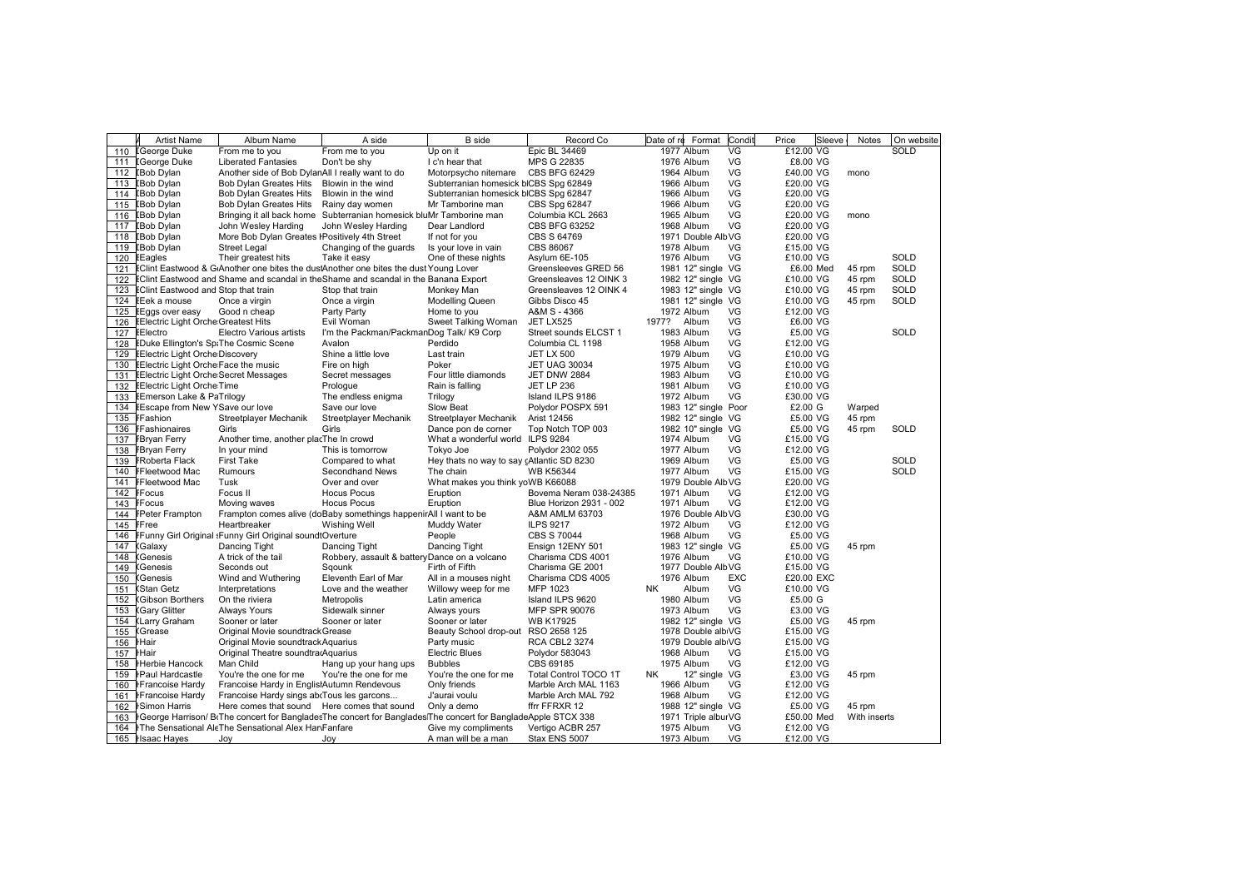|            | <b>Artist Name</b>                                                         | Album Name                                               | A side                                                                                                      | <b>B</b> side                             | Record Co                             | Date of re<br>Format                 | Condit<br>Price | Sleeve                 | Notes        | On website  |
|------------|----------------------------------------------------------------------------|----------------------------------------------------------|-------------------------------------------------------------------------------------------------------------|-------------------------------------------|---------------------------------------|--------------------------------------|-----------------|------------------------|--------------|-------------|
| 110        | <b>I</b> George Duke                                                       | From me to you                                           | From me to you                                                                                              | Up on it                                  | Epic BL 34469                         | 1977 Album<br>VG                     |                 | £12.00 VG              |              | <b>SOLD</b> |
| 111        | <b>IGeorge Duke</b>                                                        | <b>Liberated Fantasies</b>                               | Don't be shy                                                                                                | I c'n hear that                           | MPS G 22835                           | VG<br>1976 Album                     |                 | £8.00 VG               |              |             |
| 112        | <b>IBob Dylan</b>                                                          | Another side of Bob DylanAll I really want to do         |                                                                                                             | Motorpsycho nitemare                      | CBS BFG 62429                         | VG<br>1964 Album                     |                 | £40.00 VG              | mono         |             |
| 113        | <b>IBob Dylan</b>                                                          | <b>Bob Dylan Greates Hits</b>                            | Blowin in the wind                                                                                          | Subterranian homesick blCBS Spg 62849     |                                       | VG<br>1966 Album                     |                 | £20.00 VG              |              |             |
| 114        | <b>IBob Dylan</b>                                                          | <b>Bob Dylan Greates Hits</b>                            | Blowin in the wind                                                                                          | Subterranian homesick blCBS Spg 62847     |                                       | VG<br>1966 Album                     |                 | £20.00 VG              |              |             |
| 115        | <b>IBob Dylan</b>                                                          | <b>Bob Dylan Greates Hits</b>                            | Rainy day women                                                                                             | Mr Tamborine man                          | CBS Spg 62847                         | VG<br>1966 Album                     |                 | £20.00 VG              |              |             |
| 116        | <b>IBob Dylan</b>                                                          |                                                          | Bringing it all back home Subterranian homesick bluMr Tamborine man                                         |                                           | Columbia KCL 2663                     | VG<br>1965 Album                     |                 | £20.00 VG              | mono         |             |
| 117        | <b>IBob Dylan</b>                                                          | John Wesley Harding                                      | John Wesley Harding                                                                                         | Dear Landlord                             | <b>CBS BFG 63252</b>                  | VG<br>1968 Album                     |                 | £20.00 VG              |              |             |
| 118        | <b>IBob Dylan</b>                                                          | More Bob Dylan Greates I Positively 4th Street           |                                                                                                             | If not for you                            | CBS S 64769                           | 1971 Double AlbVG                    |                 | £20.00 VG              |              |             |
| 119        | <b>IBob Dylan</b>                                                          | <b>Street Legal</b>                                      | Changing of the guards                                                                                      | Is your love in vain                      | CBS 86067                             | 1978 Album<br>VG                     |                 | £15.00 VG              |              |             |
| 120        | EEagles                                                                    | Their greatest hits                                      | Take it easy                                                                                                | One of these nights                       | Asylum 6E-105                         | VG<br>1976 Album                     |                 | £10.00 VG              |              | SOLD        |
| 121        |                                                                            |                                                          | EClint Eastwood & G Another one bites the dustAnother one bites the dust Young Lover                        |                                           | Greensleeves GRED 56                  | 1981 12" single VG                   |                 | £6.00 Med              | 45 rpm       | SOLD        |
| 122        |                                                                            |                                                          | <b>EClint Eastwood and Shame and scandal in the Shame and scandal in the Banana Export</b>                  |                                           | Greensleaves 12 OINK 3                | 1982 12" single VG                   |                 | £10.00 VG              | 45 rpm       | <b>SOLD</b> |
| 123        | <b>EClint Eastwood and Stop that train</b>                                 |                                                          | Stop that train                                                                                             | Monkey Man                                | Greensleaves 12 OINK 4                | 1983 12" single VG                   |                 | £10.00 VG              | 45 rpm       | SOLD        |
| 124        | EEek a mouse                                                               | Once a virgin                                            | Once a virgin                                                                                               | <b>Modelling Queen</b>                    | Gibbs Disco 45                        | 1981 12" single VG                   |                 | £10.00 VG              | 45 rpm       | SOLD        |
| 125        | EEggs over easy                                                            | Good n cheap                                             | Party Party                                                                                                 | Home to you                               | A&M S - 4366                          | VG<br>1972 Album                     |                 | £12.00 VG              |              |             |
| 126        | <b>EElectric Light Orche Greatest Hits</b>                                 |                                                          | Evil Woman                                                                                                  | Sweet Talking Woman                       | JET LX525                             | 1977? Album<br>VG                    |                 | £6.00 VG               |              | SOLD        |
| 127        | EElectro                                                                   | Electro Various artists                                  | I'm the Packman/PackmanDog Talk/ K9 Corp                                                                    |                                           | Street sounds ELCST 1                 | VG<br>1983 Album                     |                 | £5.00 VG               |              |             |
| 128        | EDuke Ellington's Sp. The Cosmic Scene                                     |                                                          | Avalon                                                                                                      | Perdido                                   | Columbia CL 1198                      | VG<br>1958 Album<br>VG               |                 | £12.00 VG              |              |             |
| 129        | <b>EElectric Light Orche Discovery</b>                                     |                                                          | Shine a little love                                                                                         | Last train                                | <b>JET LX 500</b>                     | 1979 Album                           |                 | £10.00 VG              |              |             |
| 130        | EElectric Light Orche Face the music                                       |                                                          | Fire on high                                                                                                | Poker                                     | <b>JET UAG 30034</b>                  | VG<br>1975 Album                     |                 | £10.00 VG              |              |             |
| 131        | EElectric Light Orche Secret Messages<br><b>EElectric Light Orche Time</b> |                                                          | Secret messages                                                                                             | Four little diamonds                      | JET DNW 2884<br><b>JET LP 236</b>     | VG<br>1983 Album<br>VG<br>1981 Album |                 | £10.00 VG<br>£10.00 VG |              |             |
| 132        |                                                                            |                                                          | Prologue                                                                                                    | Rain is falling                           |                                       | VG                                   |                 |                        |              |             |
| 133<br>134 | EEmerson Lake & PaTrilogy<br>EEscape from New YSave our love               |                                                          | The endless enigma<br>Save our love                                                                         | Trilogy<br>Slow Beat                      | Island ILPS 9186<br>Polydor POSPX 591 | 1972 Album<br>1983 12" single Poor   |                 | £30.00 VG<br>£2.00 G   | Warped       |             |
| 135        | FFashion                                                                   | Streetplayer Mechanik                                    | Streetplayer Mechanik                                                                                       | Streetplayer Mechanik                     | Arist 12456                           | 1982 12" single VG                   |                 | £5.00 VG               | 45 rpm       |             |
| 136        | FFashionaires                                                              | Girls                                                    | Girls                                                                                                       | Dance pon de corner                       | Top Notch TOP 003                     | 1982 10" single VG                   |                 | £5.00 VG               | 45 rpm       | SOLD        |
| 137        | <b>FBryan Ferry</b>                                                        | Another time, another placThe In crowd                   |                                                                                                             | What a wonderful world ILPS 9284          |                                       | VG<br>1974 Album                     |                 | £15.00 VG              |              |             |
| 138        | <b>FBryan Ferry</b>                                                        | In your mind                                             | This is tomorrow                                                                                            | Tokyo Joe                                 | Polydor 2302 055                      | VG<br>1977 Album                     |                 | £12.00 VG              |              |             |
| 139        | <b>FRoberta Flack</b>                                                      | <b>First Take</b>                                        | Compared to what                                                                                            | Hey thats no way to say cAtlantic SD 8230 |                                       | VG<br>1969 Album                     |                 | £5.00 VG               |              | SOLD        |
| 140        | FFleetwood Mac                                                             | Rumours                                                  | Secondhand News                                                                                             | The chain                                 | <b>WB K56344</b>                      | VG<br>1977 Album                     |                 | £15.00 VG              |              | SOLD        |
| 141        | FFleetwood Mac                                                             | Tusk                                                     | Over and over                                                                                               | What makes you think yoWB K66088          |                                       | 1979 Double AlbVG                    |                 | £20.00 VG              |              |             |
| 142        | <b>FFocus</b>                                                              | Focus II                                                 | <b>Hocus Pocus</b>                                                                                          | Eruption                                  | Bovema Neram 038-24385                | VG<br>1971 Album                     |                 | £12.00 VG              |              |             |
| 143        | <b>FFocus</b>                                                              | Moving waves                                             | <b>Hocus Pocus</b>                                                                                          | Eruption                                  | Blue Horizon 2931 - 002               | VG<br>1971 Album                     |                 | £12.00 VG              |              |             |
| 144        | <b>FPeter Frampton</b>                                                     |                                                          | Frampton comes alive (doBaby somethings happenirAll I want to be                                            |                                           | A&M AMLM 63703                        | 1976 Double AlbVG                    |                 | £30.00 VG              |              |             |
| 145        | FFree                                                                      | Heartbreaker                                             | <b>Wishing Well</b>                                                                                         | Muddy Water                               | <b>ILPS 9217</b>                      | VG<br>1972 Album                     |                 | £12.00 VG              |              |             |
| 146        |                                                                            | FFunny Girl Original :Funny Girl Original soundtOverture |                                                                                                             | People                                    | CBS S 70044                           | VG<br>1968 Album                     |                 | £5.00 VG               |              |             |
| 147        | Galaxy:                                                                    | Dancing Tight                                            | Dancing Tight                                                                                               | Dancing Tight                             | Ensign 12ENY 501                      | 1983 12" single VG                   |                 | £5.00 VG               | 45 rpm       |             |
| 148        | <b>Genesis</b>                                                             | A trick of the tail                                      | Robbery, assault & batteryDance on a volcano                                                                |                                           | Charisma CDS 4001                     | 1976 Album<br>VG                     |                 | £10.00 VG              |              |             |
| 149        | <b>Genesis</b>                                                             | Seconds out                                              | Sqounk                                                                                                      | Firth of Fifth                            | Charisma GE 2001                      | 1977 Double AlbVG                    |                 | £15.00 VG              |              |             |
| 150        | (Genesis                                                                   | Wind and Wuthering                                       | Eleventh Earl of Mar                                                                                        | All in a mouses night                     | Charisma CDS 4005                     | 1976 Album                           | <b>EXC</b>      | £20.00 EXC             |              |             |
| 151        | <b>Stan Getz</b>                                                           | Interpretations                                          | Love and the weather                                                                                        | Willowy weep for me                       | MFP 1023                              | Album<br>VG<br>NK                    |                 | £10.00 VG              |              |             |
| 152        | Gibson Borthers                                                            | On the riviera                                           | Metropolis                                                                                                  | Latin america                             | Island ILPS 9620                      | VG<br>1980 Album                     |                 | £5.00 G                |              |             |
| 153        | <b>Gary Glitter</b>                                                        | <b>Always Yours</b>                                      | Sidewalk sinner                                                                                             | Always yours                              | <b>MFP SPR 90076</b>                  | VG<br>1973 Album                     |                 | £3.00 VG               |              |             |
| 154        | (Larry Graham                                                              | Sooner or later                                          | Sooner or later                                                                                             | Sooner or later                           | <b>WB K17925</b>                      | 1982 12" single VG                   |                 | £5.00 VG               | 45 rpm       |             |
| 155        | (Grease                                                                    | Original Movie soundtrack Grease                         |                                                                                                             | Beauty School drop-out                    | RSO 2658 125                          | 1978 Double albiVG                   |                 | £15.00 VG              |              |             |
| 156        | <b>Hair</b>                                                                | Original Movie soundtrack Aquarius                       |                                                                                                             | Party music                               | <b>RCA CBL2 3274</b>                  | 1979 Double albiVG                   |                 | £15.00 VG              |              |             |
| 157        | <b>Hair</b>                                                                | Original Theatre soundtracAquarius                       |                                                                                                             | <b>Electric Blues</b>                     | Polydor 583043                        | VG<br>1968 Album                     |                 | £15.00 VG              |              |             |
| 158        | Herbie Hancock                                                             | Man Child                                                | Hang up your hang ups                                                                                       | <b>Bubbles</b>                            | CBS 69185                             | VG<br>1975 Album                     |                 | £12.00 VG              |              |             |
| 159        | <b>I-Paul Hardcastle</b>                                                   | You're the one for me                                    | You're the one for me                                                                                       | You're the one for me                     | Total Control TOCO 1T                 | 12" single VG<br>NK                  |                 | £3.00 VG               | 45 rpm       |             |
| 160        | <b>I</b> Francoise Hardy                                                   | Francoise Hardy in EnglistAutumn Rendevous               |                                                                                                             | Only friends                              | Marble Arch MAL 1163                  | VG<br>1966 Album                     |                 | £12.00 VG              |              |             |
| 161        | <b>I</b> Francoise Hardy                                                   | Francoise Hardy sings abcTous les garcons                |                                                                                                             | J'aurai voulu                             | Marble Arch MAL 792                   | VG<br>1968 Album                     |                 | £12.00 VG              |              |             |
| 162        | <b>Simon Harris</b>                                                        | Here comes that sound Here comes that sound              |                                                                                                             | Only a demo                               | ffrr FFRXR 12                         | 1988 12" single VG                   |                 | £5.00 VG               | 45 rpm       |             |
| 163        |                                                                            |                                                          | FGeorge Harrison/BoThe concert for BangladesThe concert for BangladesThe concert for BangladeApple STCX 338 |                                           |                                       | 1971 Triple alburVG                  |                 | £50.00 Med             | With inserts |             |
| 164        |                                                                            | The Sensational AleThe Sensational Alex HanFanfare       |                                                                                                             | Give my compliments                       | Vertigo ACBR 257                      | VG<br>1975 Album                     |                 | £12.00 VG              |              |             |
|            | 165 Hsaac Hayes                                                            | Joy                                                      | Joy                                                                                                         | A man will be a man                       | Stax ENS 5007                         | VG<br>1973 Album                     |                 | £12.00 VG              |              |             |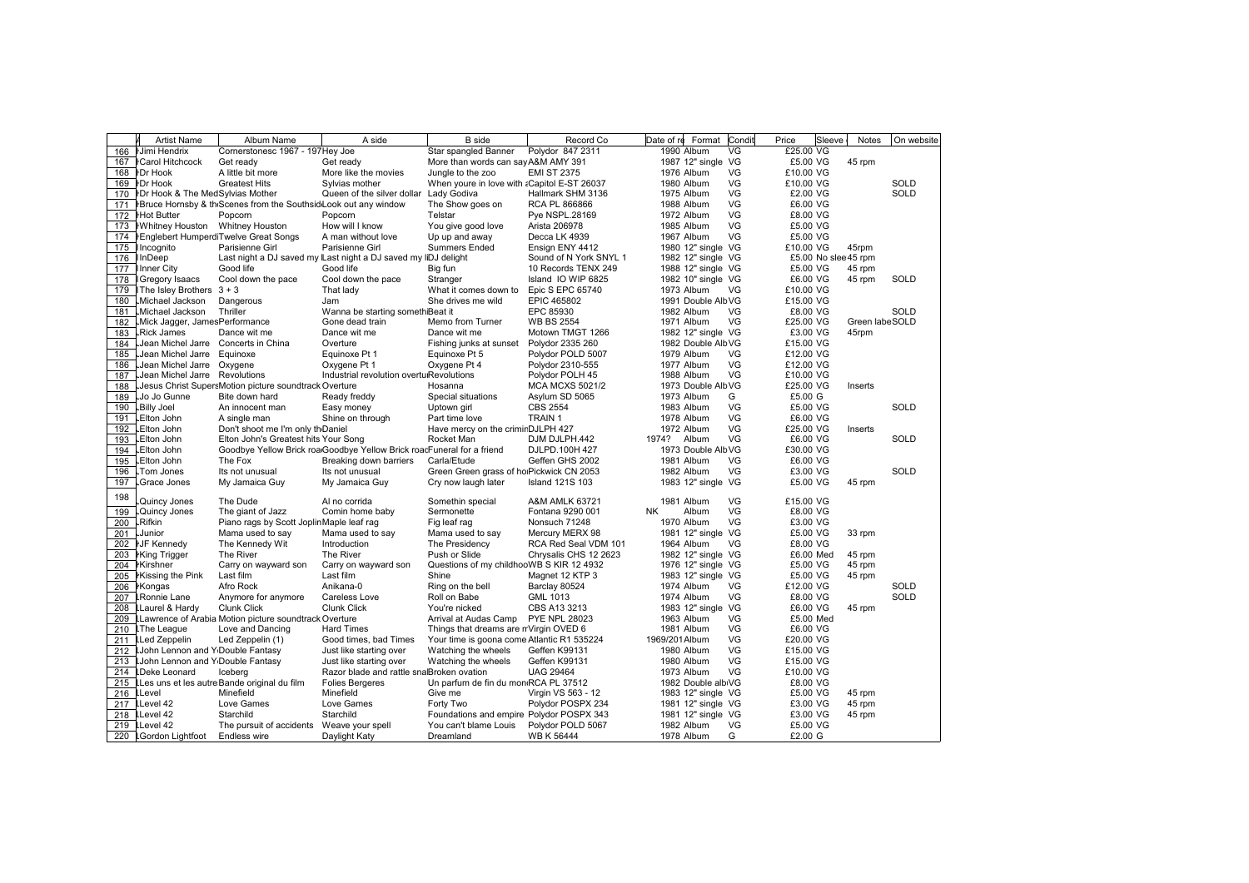|     | <b>Artist Name</b>                                  | Album Name                                                                  | A side                                                                 | <b>B</b> side                                     | Record Co              | Condit<br>Format<br>Date of re | Price<br>Sleeve      | <b>Notes</b>   | On website  |
|-----|-----------------------------------------------------|-----------------------------------------------------------------------------|------------------------------------------------------------------------|---------------------------------------------------|------------------------|--------------------------------|----------------------|----------------|-------------|
| 166 | <b>IJimi Hendrix</b>                                | Cornerstonesc 1967 - 197Hey Joe                                             |                                                                        | Star spangled Banner                              | Polydor 847 2311       | 1990 Album<br>VG               | £25.00 VG            |                |             |
| 167 | <b>I</b> Carol Hitchcock                            | Get ready                                                                   | Get ready                                                              | More than words can say A&M AMY 391               |                        | 1987 12" single VG             | £5.00 VG             | 45 rpm         |             |
| 168 | <b>IDr Hook</b>                                     | A little bit more                                                           | More like the movies                                                   | Jungle to the zoo                                 | <b>EMI ST 2375</b>     | VG<br>1976 Album               | £10.00 VG            |                |             |
| 169 | <b>IDr Hook</b>                                     | Greatest Hits                                                               | Sylvias mother                                                         | When youre in love with aCapitol E-ST 26037       |                        | VG<br>1980 Album               | £10.00 VG            |                | SOLD        |
| 170 | <b>IDr Hook &amp; The MedSylvias Mother</b>         |                                                                             | Queen of the silver dollar                                             | Lady Godiva                                       | Hallmark SHM 3136      | VG<br>1975 Album               | £2.00 VG             |                | SOLD        |
| 171 |                                                     | <b>HBruce Hornsby &amp; th Scenes from the Southsid Look out any window</b> |                                                                        | The Show goes on                                  | RCA PL 866866          | VG<br>1988 Album               | £6.00 VG             |                |             |
| 172 | <b>Hot Butter</b>                                   | Popcorn                                                                     | Popcorn                                                                | Telstar                                           | Pye NSPL.28169         | VG<br>1972 Album               | £8.00 VG             |                |             |
| 173 | <b>IWhitney Houston</b> Whitney Houston             |                                                                             | How will I know                                                        | You give good love                                | Arista 206978          | VG<br>1985 Album               | £5.00 VG             |                |             |
| 174 |                                                     | <b>Englebert HumperdiTwelve Great Songs</b>                                 | A man without love                                                     | Up up and away                                    | Decca LK 4939          | VG<br>1967 Album               | £5.00 VG             |                |             |
| 175 | Ilncognito                                          | Parisienne Girl                                                             | Parisienne Girl                                                        | <b>Summers Ended</b>                              | Ensign ENY 4412        | 1980 12" single VG             | £10.00 VG            | 45rpm          |             |
| 176 | InDeep                                              |                                                                             | Last night a DJ saved my Last night a DJ saved my liDJ delight         |                                                   | Sound of N York SNYL 1 | 1982 12" single VG             | £5.00 No slee 45 rpm |                |             |
| 177 | <b>Ilnner City</b>                                  | Good life                                                                   | Good life                                                              | Big fun                                           | 10 Records TENX 249    | 1988 12" single VG             | £5.00 VG             | 45 rpm         |             |
| 178 | Gregory Isaacs                                      | Cool down the pace                                                          | Cool down the pace                                                     | Stranger                                          | Island IO WIP 6825     | 1982 10" single VG             | £6.00 VG             | 45 rpm         | <b>SOLD</b> |
| 179 | I The Isley Brothers $3 + 3$                        |                                                                             | That lady                                                              | What it comes down to                             | Epic S EPC 65740       | 1973 Album<br>VG               | £10.00 VG            |                |             |
| 180 | Michael Jackson                                     | Dangerous                                                                   | Jam                                                                    | She drives me wild                                | EPIC 465802            | 1991 Double AlbVG              | £15.00 VG            |                |             |
| 181 | Michael Jackson                                     | Thriller                                                                    | Wanna be starting somethiBeat it                                       |                                                   | EPC 85930              | VG<br>1982 Album               | £8.00 VG             |                | <b>SOLD</b> |
| 182 | Mick Jagger, JamesPerformance                       |                                                                             | Gone dead train                                                        | Memo from Turner                                  | <b>WB BS 2554</b>      | VG<br>1971 Album               | £25.00 VG            | Green labeSOLD |             |
| 183 | <b>Rick James</b>                                   | Dance wit me                                                                | Dance wit me                                                           | Dance wit me                                      | Motown TMGT 1266       | 1982 12" single VG             | £3.00 VG             | 45rpm          |             |
| 184 | Jean Michel Jarre                                   | Concerts in China                                                           | Overture                                                               | Fishing junks at sunset                           | Polydor 2335 260       | 1982 Double AlbVG              | £15.00 VG            |                |             |
| 185 | Jean Michel Jarre                                   | Equinoxe                                                                    | Equinoxe Pt 1                                                          | Equinoxe Pt 5                                     | Polydor POLD 5007      | 1979 Album<br>VG               | £12.00 VG            |                |             |
| 186 | Jean Michel Jarre.                                  | Oxygene                                                                     | Oxygene Pt 1                                                           | Oxygene Pt 4                                      | Polydor 2310-555       | VG<br>1977 Album               | £12.00 VG            |                |             |
| 187 | Jean Michel Jarre                                   | Revolutions                                                                 | Industrial revolution overtulRevolutions                               |                                                   | Polydor POLH 45        | VG<br>1988 Album               | £10.00 VG            |                |             |
| 188 |                                                     | Jesus Christ SupersMotion picture soundtrack Overture                       |                                                                        | Hosanna                                           | <b>MCA MCXS 5021/2</b> | 1973 Double AlbVG              | £25.00 VG            | Inserts        |             |
| 189 | Jo Jo Gunne                                         | Bite down hard                                                              | Ready freddy                                                           | Special situations                                | Asylum SD 5065         | 1973 Album<br>G                | £5.00 G              |                |             |
| 190 | Billy Joel.                                         | An innocent man                                                             | Easy money                                                             | Uptown girl                                       | <b>CBS 2554</b>        | VG<br>1983 Album               | £5.00 VG             |                | SOLD        |
| 191 | Elton John                                          | A single man                                                                | Shine on through                                                       | Part time love                                    | TRAIN 1                | VG<br>1978 Album               | £6.00 VG             |                |             |
| 192 | Elton John                                          | Don't shoot me I'm only th <sub>Daniel</sub>                                |                                                                        | Have mercy on the criminDJLPH 427                 |                        | VG<br>1972 Album               | £25.00 VG            | Inserts        |             |
| 193 | Elton John                                          | Elton John's Greatest hits Your Song                                        |                                                                        | Rocket Man                                        | DJM DJLPH.442          | VG<br>1974? Album              | £6.00 VG             |                | SOLD        |
| 194 | Elton John                                          |                                                                             | Goodbye Yellow Brick roa Goodbye Yellow Brick roacFuneral for a friend |                                                   | DJLPD.100H 427         | 1973 Double AlbVG              | £30.00 VG            |                |             |
| 195 | Elton John                                          | The Fox                                                                     | Breaking down barriers                                                 | Carla/Etude                                       | Geffen GHS 2002        | VG<br>1981 Album               | £6.00 VG             |                |             |
| 196 | Tom Jones                                           | Its not unusual                                                             | Its not unusual                                                        | Green Green grass of holPickwick CN 2053          |                        | VG<br>1982 Album               | £3.00 VG             |                | SOLD        |
| 197 | Grace Jones                                         | My Jamaica Guy                                                              | My Jamaica Guy                                                         | Cry now laugh later                               | <b>Island 121S 103</b> | 1983 12" single VG             | £5.00 VG             | 45 rpm         |             |
| 198 | Quincy Jones                                        | The Dude                                                                    | Al no corrida                                                          | Somethin special                                  | A&M AMLK 63721         | 1981 Album<br>VG               | £15.00 VG            |                |             |
| 199 | Quincy Jones.                                       | The giant of Jazz                                                           | Comin home baby                                                        | Sermonette                                        | Fontana 9290 001       | <b>NK</b><br>Album<br>VG       | £8.00 VG             |                |             |
| 200 | <b>Rifkin</b>                                       | Piano rags by Scott JoplinMaple leaf rag                                    |                                                                        | Fig leaf rag                                      | Nonsuch 71248          | VG<br>1970 Album               | £3.00 VG             |                |             |
| 201 | Junior                                              | Mama used to say                                                            | Mama used to say                                                       | Mama used to say                                  | Mercury MERX 98        | 1981 12" single VG             | £5.00 VG             | 33 rpm         |             |
| 202 | <b>IJF Kennedy</b>                                  | The Kennedy Wit                                                             | Introduction                                                           | The Presidency                                    | RCA Red Seal VDM 101   | 1964 Album<br>VG               | £8.00 VG             |                |             |
| 203 | <b>King Trigger</b>                                 | The River                                                                   | The River                                                              | Push or Slide                                     | Chrysalis CHS 12 2623  | 1982 12" single VG             | £6.00 Med            | 45 rpm         |             |
| 204 | <b>Kirshner</b>                                     | Carry on wayward son                                                        | Carry on wayward son                                                   | Questions of my childhooWB S KIR 12 4932          |                        | 1976 12" single VG             | £5.00 VG             | 45 rpm         |             |
| 205 | Kissing the Pink                                    | Last film                                                                   | Last film                                                              | Shine                                             | Magnet 12 KTP 3        | 1983 12" single VG             | £5.00 VG             | 45 rpm         |             |
| 206 | <b>Kongas</b>                                       | Afro Rock                                                                   | Anikana-0                                                              | Ring on the bell                                  | Barclay 80524          | VG<br>1974 Album               | £12.00 VG            |                | <b>SOLD</b> |
| 207 | <b>LRonnie Lane</b>                                 | Anymore for anymore                                                         | Careless Love                                                          | Roll on Babe                                      | GML 1013               | VG<br>1974 Album               | £8.00 VG             |                | SOLD        |
| 208 | LLaurel & Hardy                                     | <b>Clunk Click</b>                                                          | <b>Clunk Click</b>                                                     | You're nicked                                     | CBS A13 3213           | 1983 12" single VG             | £6.00 VG             | 45 rpm         |             |
| 209 |                                                     | LLawrence of Arabia Motion picture soundtrack Overture                      |                                                                        | Arrival at Audas Camp                             | <b>PYE NPL 28023</b>   | VG<br>1963 Album               | £5.00 Med            |                |             |
| 210 | <b>LThe League</b>                                  | Love and Dancing                                                            | <b>Hard Times</b>                                                      | Things that dreams are nVirgin OVED 6             |                        | VG<br>1981 Album               | £6.00 VG             |                |             |
| 211 | <b>LLed Zeppelin</b>                                | Led Zeppelin (1)                                                            | Good times, bad Times                                                  | Your time is goona come Atlantic R1 535224        |                        | VG<br>1969/201Album            | £20.00 VG            |                |             |
| 212 | <b>LJohn Lennon and Y</b> Double Fantasy            |                                                                             | Just like starting over                                                | Watching the wheels                               | Geffen K99131          | VG<br>1980 Album               | £15.00 VG            |                |             |
| 213 | <b>LJohn Lennon and Y</b> <sub>Double</sub> Fantasy |                                                                             | Just like starting over                                                | Watching the wheels                               | Geffen K99131          | VG<br>1980 Album               | £15.00 VG            |                |             |
| 214 | <b>LDeke Leonard</b>                                | Iceberg                                                                     | Razor blade and rattle snalBroken ovation                              |                                                   | <b>UAG 29464</b>       | VG<br>1973 Album               | £10.00 VG            |                |             |
| 215 |                                                     | LLes uns et les autreBande original du film                                 | <b>Folies Bergeres</b>                                                 | Un parfum de fin du mon <sub>'</sub> RCA PL 37512 |                        | 1982 Double albiVG             | £8.00 VG             |                |             |
| 216 | <b>LLevel</b>                                       | Minefield                                                                   | Minefield                                                              | Give me                                           | Virgin VS 563 - 12     | 1983 12" single VG             | £5.00 VG             | 45 rpm         |             |
| 217 | LLevel 42                                           | Love Games                                                                  | Love Games                                                             | Forty Two                                         | Polydor POSPX 234      | 1981 12" single VG             | £3.00 VG             | 45 rpm         |             |
| 218 | LLevel 42                                           | Starchild                                                                   | Starchild                                                              | Foundations and empire Polydor POSPX 343          |                        | 1981 12" single VG             | £3.00 VG             | 45 rpm         |             |
| 219 | LLevel 42                                           | The pursuit of accidents                                                    | Weave your spell                                                       | You can't blame Louis                             | Polydor POLD 5067      | VG<br>1982 Album               | £5.00 VG             |                |             |
|     | 220 IGordon Lightfoot                               | <b>Endless wire</b>                                                         | Daylight Katy                                                          | Dreamland                                         | WB K 56444             | 1978 Album<br>G                | £2.00 G              |                |             |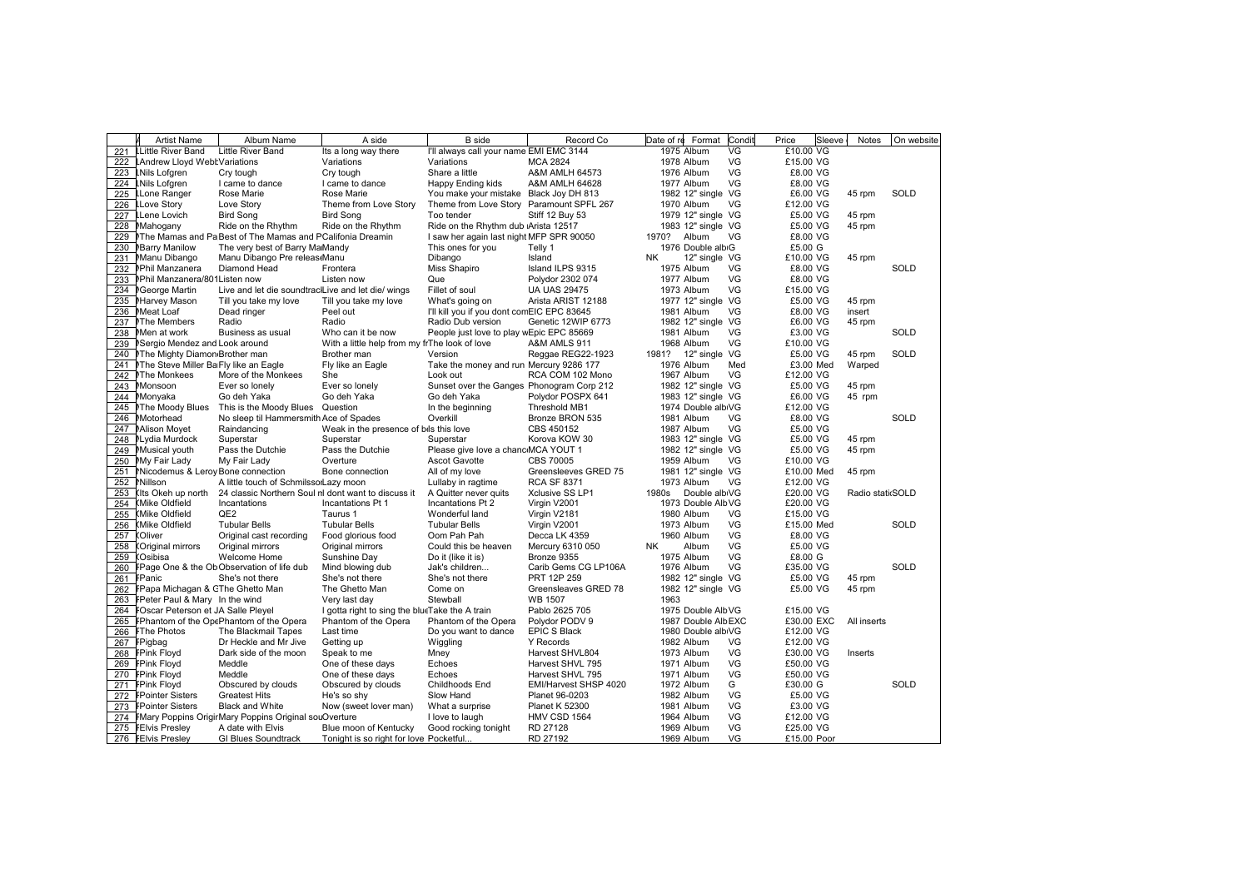|     | <b>Artist Name</b>                    | Album Name                                                | A side                                         | <b>B</b> side                              | Record Co              | Condit<br>Format<br>Date of re | Price<br>Sleeve | <b>Notes</b>     | On website  |
|-----|---------------------------------------|-----------------------------------------------------------|------------------------------------------------|--------------------------------------------|------------------------|--------------------------------|-----------------|------------------|-------------|
| 221 | <b>LLittle River Band</b>             | Little River Band                                         | Its a long way there                           | I'll always call your name EMI EMC 3144    |                        | 1975 Album<br>VG               | £10.00 VG       |                  |             |
| 222 | LAndrew Lloyd WebtVariations          |                                                           | Variations                                     | Variations                                 | <b>MCA 2824</b>        | 1978 Album<br>VG               | £15.00 VG       |                  |             |
| 223 | <b>LNils Lofgren</b>                  | Cry tough                                                 | Cry tough                                      | Share a little                             | A&M AMLH 64573         | VG<br>1976 Album               | £8.00 VG        |                  |             |
| 224 | <b>LNils Lofgren</b>                  | I came to dance                                           | I came to dance                                | Happy Ending kids                          | A&M AMLH 64628         | VG<br>1977 Album               | £8.00 VG        |                  |             |
| 225 | LLone Ranger                          | Rose Marie                                                | Rose Marie                                     | You make your mistake Black Joy DH 813     |                        | 1982 12" single VG             | £6.00 VG        | 45 rpm           | SOLD        |
| 226 | <b>LLove Story</b>                    | Love Story                                                | Theme from Love Story                          | Theme from Love Story Paramount SPFL 267   |                        | VG<br>1970 Album               | £12.00 VG       |                  |             |
| 227 | <b>LLene Lovich</b>                   | <b>Bird Song</b>                                          | <b>Bird Song</b>                               | Too tender                                 | <b>Stiff 12 Buy 53</b> | 1979 12" single VG             | £5.00 VG        | 45 rpm           |             |
| 228 | Mahogany                              | Ride on the Rhythm                                        | Ride on the Rhythm                             | Ride on the Rhythm dub Arista 12517        |                        | 1983 12" single VG             | £5.00 VG        | 45 rpm           |             |
| 229 |                                       | The Mamas and Pa Best of The Mamas and PCalifonia Dreamin |                                                | I saw her again last night MFP SPR 90050   |                        | VG<br>1970?<br>Album           | £8.00 VG        |                  |             |
| 230 | <b>MBarry Manilow</b>                 | The very best of Barry MaMandy                            |                                                | This ones for you                          | Telly 1                | 1976 Double albiG              | £5.00 G         |                  |             |
| 231 | Manu Dibango                          | Manu Dibango Pre releas Manu                              |                                                | Dibango                                    | Island                 | 12" single VG<br><b>NK</b>     | £10.00 VG       | 45 rpm           |             |
| 232 | MPhil Manzanera                       | Diamond Head                                              | Frontera                                       | Miss Shapiro                               | Island ILPS 9315       | 1975 Album<br>VG               | £8.00 VG        |                  | <b>SOLD</b> |
| 233 | Phil Manzanera/801 Listen now         |                                                           | Listen now                                     | Que                                        | Polydor 2302 074       | VG<br>1977 Album               | £8.00 VG        |                  |             |
| 234 | <b>NGeorge Martin</b>                 | Live and let die soundtraclLive and let die/wings         |                                                | Fillet of soul                             | <b>UA UAS 29475</b>    | VG<br>1973 Album               | £15.00 VG       |                  |             |
| 235 | Marvey Mason                          | Till you take my love                                     | Till you take my love                          | What's going on                            | Arista ARIST 12188     | 1977 12" single VG             | £5.00 VG        | 45 rpm           |             |
| 236 | Meat Loaf                             | Dead ringer                                               | Peel out                                       | I'll kill you if you dont comEIC EPC 83645 |                        | VG<br>1981 Album               | £8.00 VG        | insert           |             |
| 237 | MThe Members                          | Radio                                                     | Radio                                          | Radio Dub version                          | Genetic 12WIP 6773     | 1982 12" single VG             | £6.00 VG        | 45 rpm           |             |
| 238 | Men at work                           | Business as usual                                         | Who can it be now                              | People just love to play wEpic EPC 85669   |                        | VG<br>1981 Album               | £3.00 VG        |                  | <b>SOLD</b> |
| 239 | Sergio Mendez and Look around         |                                                           | With a little help from my frThe look of love  |                                            | A&M AMLS 911           | 1968 Album<br>VG               | £10.00 VG       |                  |             |
| 240 | <b>NThe Mighty Diamon Brother man</b> |                                                           | Brother man                                    | Version                                    | Reggae REG22-1923      | 12" single VG<br>1981?         | £5.00 VG        | 45 rpm           | SOLD        |
| 241 | Mhe Steve Miller Ba Fly like an Eagle |                                                           | Fly like an Eagle                              | Take the money and run Mercury 9286 177    |                        | Med<br>1976 Album              | £3.00 Med       | Warped           |             |
| 242 | <b>MThe Monkees</b>                   | More of the Monkees                                       | She                                            | Look out                                   | RCA COM 102 Mono       | VG<br>1967 Album               | £12.00 VG       |                  |             |
| 243 | Monsoon                               | Ever so lonely                                            | Ever so lonely                                 | Sunset over the Ganges Phonogram Corp 212  |                        | 1982 12" single VG             | £5.00 VG        | 45 rpm           |             |
| 244 | Monyaka                               | Go deh Yaka                                               | Go deh Yaka                                    | Go deh Yaka                                | Polydor POSPX 641      | 1983 12" single VG             | £6.00 VG        | 45 rpm           |             |
| 245 | <b>MThe Moody Blues</b>               | This is the Moody Blues Question                          |                                                | In the beginning                           | Threshold MB1          | 1974 Double albiVG             | £12.00 VG       |                  |             |
| 246 | Motorhead                             | No sleep til Hammersmith Ace of Spades                    |                                                | Overkill                                   | Bronze BRON 535        | 1981 Album<br>VG               | £8.00 VG        |                  | SOLD        |
| 247 | Mison Moyet                           | Raindancing                                               | Weak in the presence of bils this love         |                                            | CBS 450152             | VG<br>1987 Album               | £5.00 VG        |                  |             |
| 248 | NLydia Murdock                        | Superstar                                                 | Superstar                                      | Superstar                                  | Korova KOW 30          | 1983 12" single VG             | £5.00 VG        | 45 rpm           |             |
| 249 | Musical youth                         | Pass the Dutchie                                          | Pass the Dutchie                               | Please give love a chanc MCA YOUT 1        |                        | 1982 12" single VG             | £5.00 VG        | 45 rpm           |             |
| 250 | My Fair Lady                          | My Fair Lady                                              | Overture                                       | <b>Ascot Gavotte</b>                       | CBS 70005              | VG<br>1959 Album               | £10.00 VG       |                  |             |
| 251 | Micodemus & Leroy Bone connection     |                                                           | Bone connection                                | All of my love                             | Greensleeves GRED 75   | 1981 12" single VG             | £10.00 Med      | 45 rpm           |             |
| 252 | Nillson                               | A little touch of SchmilssorLazy moon                     |                                                | Lullaby in ragtime                         | <b>RCA SF 8371</b>     | 1973 Album<br>VG               | £12.00 VG       |                  |             |
| 253 | (Its Okeh up north                    | 24 classic Northern Soul nl dont want to discuss it       |                                                | A Quitter never quits                      | Xclusive SS LP1        | Double albiVG<br>1980s         | £20.00 VG       | Radio stati SOLD |             |
| 254 | (Mike Oldfield                        | Incantations                                              | Incantations Pt 1                              | Incantations Pt 2                          | Virgin V2001           | 1973 Double AlbVG              | £20.00 VG       |                  |             |
| 255 | (Mike Oldfield                        | QE <sub>2</sub>                                           | Taurus 1                                       | Wonderful land                             | Virgin V2181           | 1980 Album<br>VG               | £15.00 VG       |                  |             |
| 256 | (Mike Oldfield                        | <b>Tubular Bells</b>                                      | <b>Tubular Bells</b>                           | <b>Tubular Bells</b>                       | Virgin V2001           | VG.<br>1973 Album              | £15.00 Med      |                  | SOLD        |
| 257 | (Oliver                               | Original cast recording                                   | Food glorious food                             | Oom Pah Pah                                | Decca LK 4359          | VG<br>1960 Album               | £8.00 VG        |                  |             |
| 258 | <b>Criginal mirrors</b>               | Original mirrors                                          | Original mirrors                               | Could this be heaven                       | Mercury 6310 050       | VG<br><b>NK</b><br>Album       | £5.00 VG        |                  |             |
| 259 | (Osibisa                              | Welcome Home                                              | Sunshine Day                                   | Do it (like it is)                         | Bronze 9355            | 1975 Album<br>VG               | £8.00 G         |                  |             |
| 260 |                                       | FPage One & the Ob Observation of life dub                | Mind blowing dub                               | Jak's children                             | Carib Gems CG LP106A   | VG<br>1976 Album               | £35.00 VG       |                  | SOLD        |
| 261 | FPanic                                | She's not there                                           | She's not there                                | She's not there                            | PRT 12P 259            | 1982 12" single VG             | £5.00 VG        | 45 rpm           |             |
| 262 | FPapa Michagan & GThe Ghetto Man      |                                                           | The Ghetto Man                                 | Come on                                    | Greensleaves GRED 78   | 1982 12" single VG             | £5.00 VG        | 45 rpm           |             |
| 263 | FPeter Paul & Mary In the wind        |                                                           | Very last day                                  | Stewball                                   | <b>WB 1507</b>         | 1963                           |                 |                  |             |
| 264 | FOscar Peterson et JA Salle Pleyel    |                                                           | I gotta right to sing the blueTake the A train |                                            | Pablo 2625 705         | 1975 Double AlbVG              | £15.00 VG       |                  |             |
| 265 |                                       | FPhantom of the OpePhantom of the Opera                   | Phantom of the Opera                           | Phantom of the Opera                       | Polydor PODV 9         | 1987 Double AlbEXC             | £30.00 EXC      | All inserts      |             |
| 266 | <b>FThe Photos</b>                    | The Blackmail Tapes                                       | Last time                                      | Do you want to dance                       | <b>EPIC S Black</b>    | 1980 Double albiVG             | £12.00 VG       |                  |             |
| 267 | FPigbag                               | Dr Heckle and Mr Jive                                     | Getting up                                     | Wiggling                                   | <b>Y</b> Records       | VG<br>1982 Album               | £12.00 VG       |                  |             |
|     | 268 FPink Floyd                       | Dark side of the moon                                     | Speak to me                                    | Mney                                       | Harvest SHVL804        | VG<br>1973 Album               | £30.00 VG       | Inserts          |             |
|     | 269 FPink Floyd                       | Meddle                                                    | One of these days                              | Echoes                                     | Harvest SHVL 795       | VG<br>1971 Album               | £50.00 VG       |                  |             |
|     | 270 FPink Floyd                       | Meddle                                                    | One of these days                              | Echoes                                     | Harvest SHVL 795       | VG<br>1971 Album               | £50.00 VG       |                  |             |
| 271 | <b>FPink Floyd</b>                    | Obscured by clouds                                        | Obscured by clouds                             | Childhoods End                             | EMI/Harvest SHSP 4020  | G<br>1972 Album                | £30.00 G        |                  | SOLD        |
| 272 | <b>FPointer Sisters</b>               | <b>Greatest Hits</b>                                      | He's so shy                                    | Slow Hand                                  | Planet 96-0203         | VG<br>1982 Album               | £5.00 VG        |                  |             |
| 273 | <b>FPointer Sisters</b>               | <b>Black and White</b>                                    | Now (sweet lover man)                          | What a surprise                            | Planet K 52300         | VG<br>1981 Album               | £3.00 VG        |                  |             |
| 274 |                                       | FMary Poppins OrigirMary Poppins Original souOverture     |                                                | I love to laugh                            | HMV CSD 1564           | VG<br>1964 Album               | £12.00 VG       |                  |             |
| 275 | <b>FEIvis Presley</b>                 | A date with Elvis                                         | Blue moon of Kentucky                          | Good rocking tonight                       | RD 27128               | VG<br>1969 Album               | £25.00 VG       |                  |             |
|     | 276 FEIvis Presley                    | <b>GI Blues Soundtrack</b>                                | Tonight is so right for love Pocketful         |                                            | RD 27192               | VG<br>1969 Album               | £15.00 Poor     |                  |             |
|     |                                       |                                                           |                                                |                                            |                        |                                |                 |                  |             |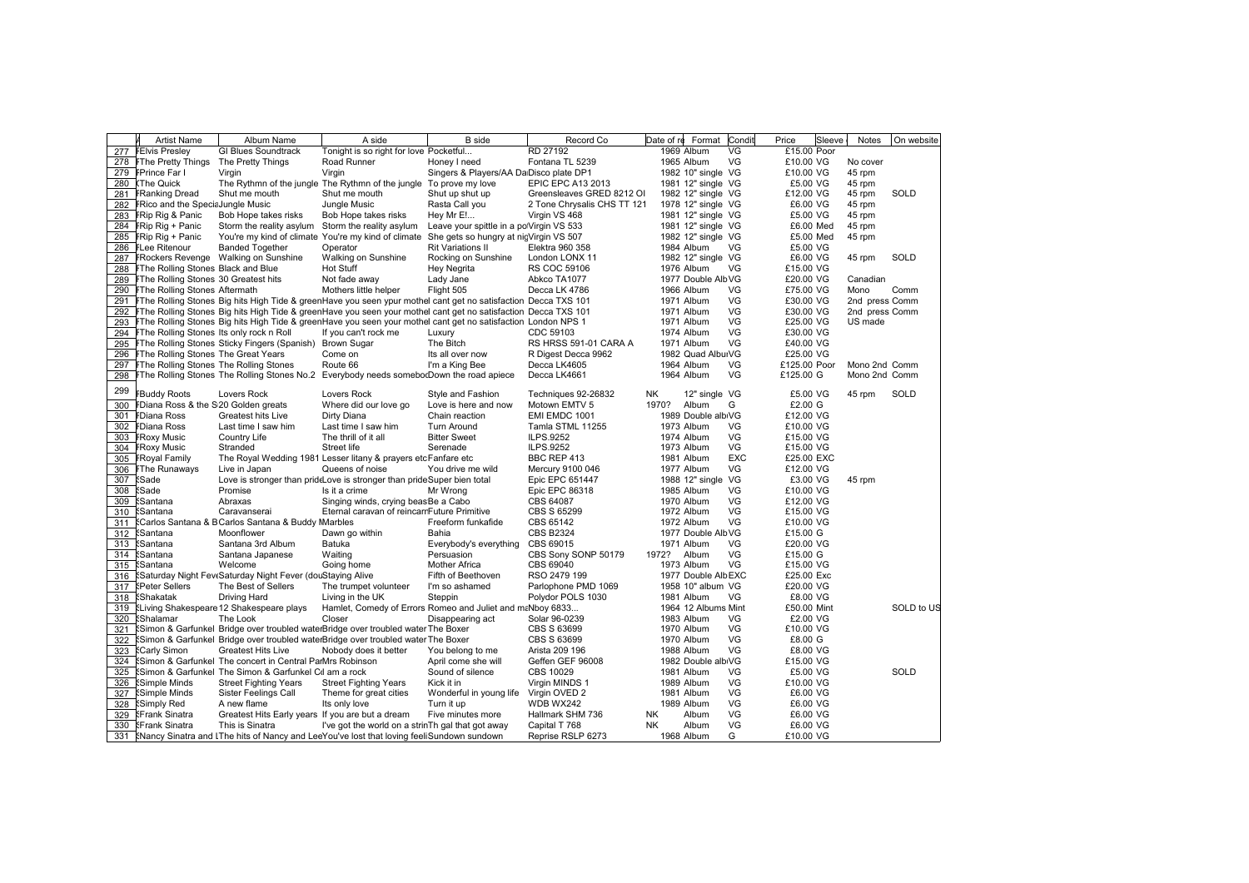|            | <b>Artist Name</b>                           | Album Name                                                                       | A side                                                                                                         | <b>B</b> side                             | Record Co                            | Date of re<br>Format                    | Condit     | Price<br>Sleeve         | Notes          | On website  |
|------------|----------------------------------------------|----------------------------------------------------------------------------------|----------------------------------------------------------------------------------------------------------------|-------------------------------------------|--------------------------------------|-----------------------------------------|------------|-------------------------|----------------|-------------|
| 277        | <b>FEIvis Presley</b>                        | <b>GI Blues Soundtrack</b>                                                       | Tonight is so right for love Pocketful                                                                         |                                           | RD 27192                             | 1969 Album                              | VG         | £15.00 Poor             |                |             |
|            | 278 FThe Pretty Things                       | The Pretty Things                                                                | <b>Road Runner</b>                                                                                             | Honey I need                              | Fontana TL 5239                      | 1965 Album                              | VG         | £10.00 VG               | No cover       |             |
| 279        | <b>FPrince Far I</b>                         | Virgin                                                                           | Virgin                                                                                                         | Singers & Players/AA DalDisco plate DP1   |                                      | 1982 10" single VG                      |            | £10.00 VG               | 45 rpm         |             |
| 280        | (The Quick                                   |                                                                                  | The Rythmn of the jungle The Rythmn of the jungle To prove my love                                             |                                           | EPIC EPC A13 2013                    | 1981 12" single VG                      |            | £5.00 VG                | 45 rpm         |             |
| 281        | <b>FRanking Dread</b>                        | Shut me mouth                                                                    | Shut me mouth                                                                                                  | Shut up shut up                           | Greensleaves GRED 8212 OI            | 1982 12" single VG                      |            | £12.00 VG               | 45 rpm         | <b>SOLD</b> |
| 282        | FRico and the Specia Jungle Music            |                                                                                  | Jungle Music                                                                                                   | Rasta Call you                            | 2 Tone Chrysalis CHS TT 121          | 1978 12" single VG                      |            | £6.00 VG                | 45 rpm         |             |
| 283        | FRip Rig & Panic                             | Bob Hope takes risks                                                             | Bob Hope takes risks                                                                                           | Hey Mr E!                                 | Virgin VS 468                        | 1981 12" single VG                      |            | £5.00 VG                | 45 rpm         |             |
| 284        | FRip Rig + Panic                             | Storm the reality asylum Storm the reality asylum                                |                                                                                                                | Leave your spittle in a po'Virgin VS 533  |                                      | 1981 12" single VG                      |            | £6.00 Med               | 45 rpm         |             |
| 285        | FRip Rig + Panic                             |                                                                                  | You're my kind of climate You're my kind of climate                                                            | She gets so hungry at nicVirgin VS 507    |                                      | 1982 12" single VG                      |            | £5.00 Med               | 45 rpm         |             |
| 286        | <b>FLee Ritenour</b>                         | <b>Banded Together</b>                                                           | Operator                                                                                                       | Rit Variations II                         | Elektra 960 358                      | 1984 Album                              | VG         | £5.00 VG                |                |             |
| 287        |                                              | FRockers Revenge Walking on Sunshine                                             | Walking on Sunshine                                                                                            | Rocking on Sunshine                       | London LONX 11                       | 1982 12" single VG                      |            | £6.00 VG                | 45 rpm         | <b>SOLD</b> |
| 288        | <b>FThe Rolling Stones Black and Blue</b>    |                                                                                  | Hot Stuff                                                                                                      | Hey Negrita                               | <b>RS COC 59106</b>                  | 1976 Album                              | VG         | £15.00 VG               |                |             |
| 289        | FThe Rolling Stones 30 Greatest hits         |                                                                                  | Not fade away                                                                                                  | Lady Jane                                 | Abkco TA1077                         | 1977 Double AlbVG                       |            | £20.00 VG               | Canadian       |             |
| 290        | FThe Rolling Stones Aftermath                |                                                                                  | Mothers little helper                                                                                          | Flight 505                                | Decca LK 4786                        | 1966 Album                              | VG         | £75.00 VG               | Mono           | Comm        |
| 291        |                                              |                                                                                  | FThe Rolling Stones Big hits High Tide & greenHave you seen ypur mothel cant get no satisfaction Decca TXS 101 |                                           |                                      | 1971 Album                              | VG         | £30.00 VG               | 2nd press Comm |             |
| 292        |                                              |                                                                                  | FThe Rolling Stones Big hits High Tide & greenHave you seen your mothel cant get no satisfaction Decca TXS 101 |                                           |                                      | 1971 Album                              | VG         | £30.00 VG               | 2nd press Comm |             |
| 293        |                                              |                                                                                  | FThe Rolling Stones Big hits High Tide & greenHave you seen your mothel cant get no satisfaction London NPS 1  |                                           |                                      | 1971 Album                              | VG         | £25.00 VG               | US made        |             |
| 294        | FThe Rolling Stones Its only rock n Roll     |                                                                                  | If you can't rock me                                                                                           | Luxury                                    | CDC 59103                            | 1974 Album                              | VG         | £30.00 VG               |                |             |
| 295        |                                              | FThe Rolling Stones Sticky Fingers (Spanish) Brown Sugar                         |                                                                                                                | The Bitch                                 | RS HRSS 591-01 CARA A                | 1971 Album                              | VG         | £40.00 VG               |                |             |
| 296        | FThe Rolling Stones The Great Years          |                                                                                  | Come on                                                                                                        | Its all over now                          | R Digest Decca 9962                  | 1982 Quad AlburVG                       |            | £25.00 VG               |                |             |
| 297        | FThe Rolling Stones The Rolling Stones       |                                                                                  | Route 66                                                                                                       | I'm a King Bee                            | Decca LK4605                         | 1964 Album                              | VG         | £125.00 Poor            | Mono 2nd Comm  |             |
| 298        |                                              |                                                                                  | FThe Rolling Stones The Rolling Stones No.2 Everybody needs somebo(Down the road apiece                        |                                           | Decca LK4661                         | 1964 Album                              | VG         | £125.00 G               | Mono 2nd Comm  |             |
| 299        | <b>FBuddy Roots</b>                          | Lovers Rock                                                                      | Lovers Rock                                                                                                    |                                           |                                      | 12" single VG<br>NΚ                     |            | £5.00 VG                | 45 rpm         | <b>SOLD</b> |
| 300        | FDiana Ross & the S20 Golden greats          |                                                                                  | Where did our love go                                                                                          | Style and Fashion<br>Love is here and now | Techniques 92-26832<br>Motown EMTV 5 | 1970?<br>Album                          | G          | £2.00 G                 |                |             |
|            |                                              |                                                                                  |                                                                                                                |                                           |                                      | 1989 Double albiVG                      |            | £12.00 VG               |                |             |
| 301        | FDiana Ross                                  | Greatest hits Live                                                               | Dirty Diana                                                                                                    | Chain reaction                            | EMI EMDC 1001                        | 1973 Album                              | VG         |                         |                |             |
| 302<br>303 | FDiana Ross<br><b>FRoxy Music</b>            | Last time I saw him<br>Country Life                                              | Last time I saw him<br>The thrill of it all                                                                    | <b>Turn Around</b><br><b>Bitter Sweet</b> | Tamla STML 11255<br>ILPS.9252        | 1974 Album                              | VG         | £10.00 VG<br>£15.00 VG  |                |             |
|            |                                              | Stranded                                                                         | Street life                                                                                                    |                                           | ILPS.9252                            |                                         | VG         |                         |                |             |
| 304<br>305 | <b>FRoxy Music</b>                           |                                                                                  |                                                                                                                | Serenade                                  | BBC REP 413                          | 1973 Album                              | <b>EXC</b> | £15.00 VG<br>£25.00 EXC |                |             |
|            | <b>FRoyal Family</b><br><b>FThe Runaways</b> | Live in Japan                                                                    | The Royal Wedding 1981 Lesser litany & prayers etcFanfare etc<br>Queens of noise                               |                                           | Mercury 9100 046                     | 1981 Album<br>1977 Album                | VG         | £12.00 VG               |                |             |
| 306        |                                              |                                                                                  |                                                                                                                | You drive me wild                         |                                      |                                         |            |                         |                |             |
| 307        | <b>Sade</b><br><b>Sade</b>                   |                                                                                  | Love is stronger than prideLove is stronger than prideSuper bien total                                         |                                           | Epic EPC 651447<br>Epic EPC 86318    | 1988 12" single VG                      | VG         | £3.00 VG<br>£10.00 VG   | 45 rpm         |             |
| 308        |                                              | Promise<br>Abraxas                                                               | Is it a crime                                                                                                  | Mr Wrong                                  |                                      | 1985 Album                              | VG         |                         |                |             |
| 309        | <b>Santana</b>                               |                                                                                  | Singing winds, crying beasBe a Cabo                                                                            |                                           | CBS 64087                            | 1970 Album                              | VG         | £12.00 VG               |                |             |
| 310        | <b>Santana</b>                               | Caravanserai                                                                     | Eternal caravan of reincarrFuture Primitive                                                                    |                                           | CBS S 65299                          | 1972 Album                              | VG         | £15.00 VG               |                |             |
| 311        |                                              | Carlos Santana & BCarlos Santana & Buddy Marbles                                 |                                                                                                                | Freeform funkafide                        | CBS 65142                            | 1972 Album                              |            | £10.00 VG               |                |             |
| 312        | <b>Santana</b><br><b>Santana</b>             | Moonflower                                                                       | Dawn go within                                                                                                 | Bahia                                     | <b>CBS B2324</b><br>CBS 69015        | 1977 Double AlbVG                       | VG         | £15.00 G<br>£20.00 VG   |                |             |
| 313<br>314 | <b>Santana</b>                               | Santana 3rd Album<br>Santana Japanese                                            | Batuka<br>Waiting                                                                                              | Everybody's everything<br>Persuasion      | CBS Sony SONP 50179                  | 1971 Album<br>1972? Album               | VG         | £15.00 G                |                |             |
|            |                                              |                                                                                  |                                                                                                                |                                           |                                      |                                         | VG         |                         |                |             |
| 315        | <b>Santana</b>                               | Welcome                                                                          | Going home                                                                                                     | <b>Mother Africa</b>                      | CBS 69040<br>RSO 2479 199            | 1973 Album                              |            | £15.00 VG               |                |             |
| 316<br>317 | <b>SPeter Sellers</b>                        | Saturday Night FeveSaturday Night Fever (douStaying Alive<br>The Best of Sellers | The trumpet volunteer                                                                                          | Fifth of Beethoven<br>I'm so ashamed      | Parlophone PMD 1069                  | 1977 Double AlbEXC<br>1958 10" album VG |            | £25.00 Exc<br>£20.00 VG |                |             |
| 318        | <b>Shakatak</b>                              | Driving Hard                                                                     | Living in the UK                                                                                               | Steppin                                   | Polydor POLS 1030                    | 1981 Album                              | VG         | £8.00 VG                |                |             |
| 319        |                                              | <b>Eliving Shakespeare 12 Shakespeare plays</b>                                  | Hamlet, Comedy of Errors Romeo and Juliet and maNboy 6833                                                      |                                           |                                      | 1964 12 Albums Mint                     |            | £50.00 Mint             |                | SOLD to US  |
| 320        | <b>Shalamar</b>                              | The Look                                                                         | Closer                                                                                                         |                                           |                                      | 1983 Album                              | VG         | £2.00 VG                |                |             |
|            |                                              |                                                                                  |                                                                                                                | Disappearing act                          | Solar 96-0239                        |                                         | VG         |                         |                |             |
| 321        |                                              |                                                                                  | Simon & Garfunkel Bridge over troubled waterBridge over troubled water The Boxer                               |                                           | CBS S 63699                          | 1970 Album                              | VG         | £10.00 VG<br>£8.00 G    |                |             |
| 322<br>323 | <b>{Carly Simon</b>                          | <b>Greatest Hits Live</b>                                                        | Simon & Garfunkel Bridge over troubled waterBridge over troubled water The Boxer<br>Nobody does it better      | You belong to me                          | CBS S 63699<br>Arista 209 196        | 1970 Album<br>1988 Album                | VG         | £8.00 VG                |                |             |
| 324        |                                              | Simon & Garfunkel The concert in Central ParMrs Robinson                         |                                                                                                                | April come she will                       | Geffen GEF 96008                     | 1982 Double albiVG                      |            | £15.00 VG               |                |             |
| 325        |                                              | Simon & Garfunkel The Simon & Garfunkel Cil am a rock                            |                                                                                                                | Sound of silence                          | CBS 10029                            | 1981 Album                              | VG         | £5.00 VG                |                | SOLD        |
| 326        | <b>Simple Minds</b>                          | <b>Street Fighting Years</b>                                                     | <b>Street Fighting Years</b>                                                                                   | Kick it in                                | Virgin MINDS 1                       | 1989 Album                              | VG         | £10.00 VG               |                |             |
|            |                                              |                                                                                  |                                                                                                                |                                           |                                      | 1981 Album                              | VG         | £6.00 VG                |                |             |
| 327<br>328 | <b>Simple Minds</b><br><b>Simply Red</b>     | Sister Feelings Call<br>A new flame                                              | Theme for great cities<br>Its only love                                                                        | Wonderful in young life<br>Turn it up     | Virgin OVED 2<br>WDB WX242           | 1989 Album                              | VG         | £6.00 VG                |                |             |
| 329        | <b>Erank Sinatra</b>                         | Greatest Hits Early years If you are but a dream                                 |                                                                                                                | Five minutes more                         | Hallmark SHM 736                     | Album<br><b>NK</b>                      | VG         | £6.00 VG                |                |             |
| 330        | <b>Erank Sinatra</b>                         | This is Sinatra                                                                  | I've got the world on a strinTh gal that got away                                                              |                                           | Capital T 768                        | Album<br><b>NK</b>                      | VG         | £6.00 VG                |                |             |
|            |                                              |                                                                                  | 331 KNancy Sinatra and IThe hits of Nancy and LeeYou've lost that loving feeliSundown sundown                  |                                           | Reprise RSLP 6273                    | 1968 Album                              | G          | £10.00 VG               |                |             |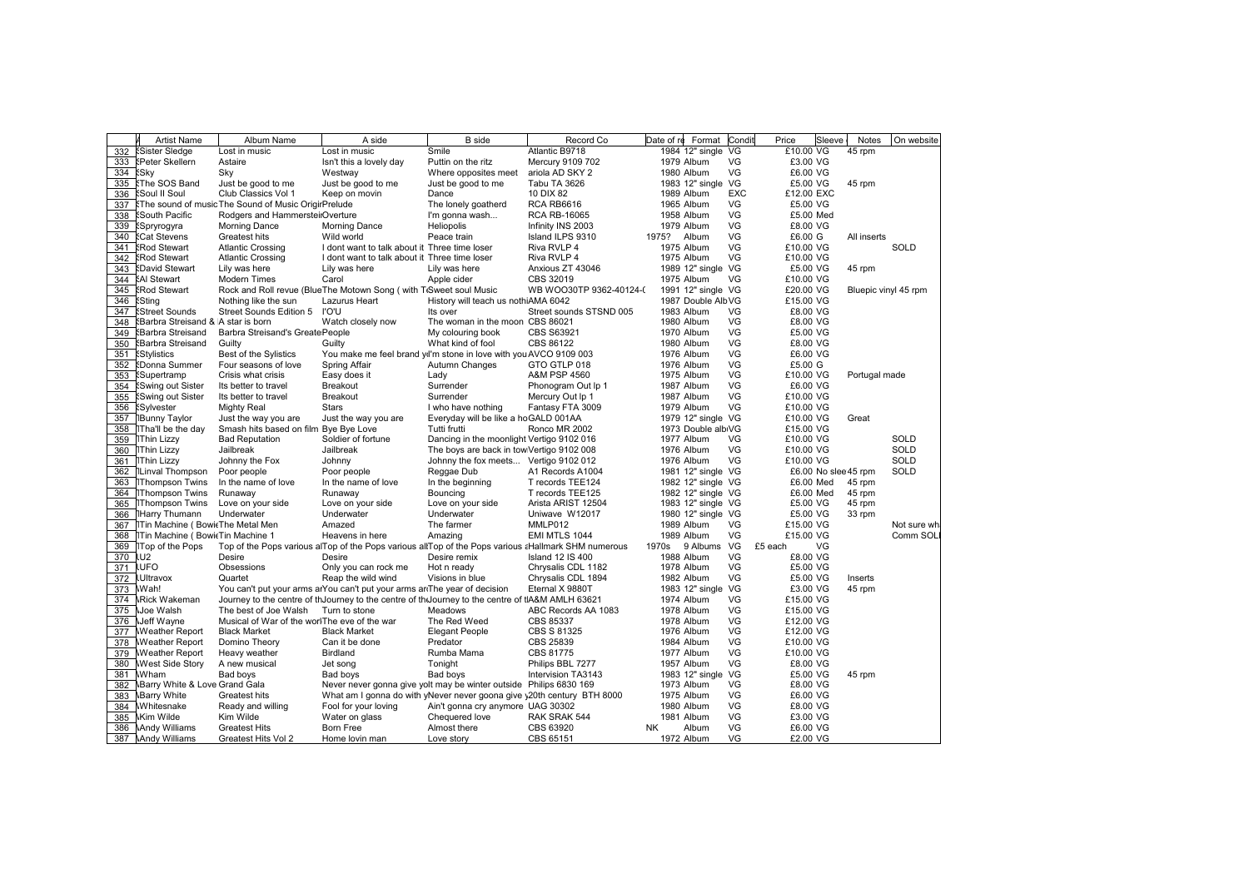|     | <b>Artist Name</b>                 | Album Name                                          | A side                                                                                              | <b>B</b> side                             | Record Co               | Date of re  | Format Condi       |            | Price      | Sleeve               | Notes                | On website  |
|-----|------------------------------------|-----------------------------------------------------|-----------------------------------------------------------------------------------------------------|-------------------------------------------|-------------------------|-------------|--------------------|------------|------------|----------------------|----------------------|-------------|
| 332 | <b>Sister Sledge</b>               | Lost in music                                       | Lost in music                                                                                       | Smile                                     | Atlantic B9718          |             | 1984 12" single VG |            | £10.00 VG  |                      | 45 rpm               |             |
| 333 | <b>SPeter Skellern</b>             | Astaire                                             | Isn't this a lovely day                                                                             | Puttin on the ritz                        | Mercury 9109 702        |             | 1979 Album         | VG         | £3.00 VG   |                      |                      |             |
| 334 | <b>Sky</b>                         | Sky                                                 | Westway                                                                                             | Where opposites meet                      | ariola AD SKY 2         |             | 1980 Album         | VG         | £6.00 VG   |                      |                      |             |
| 335 | <b>:The SOS Band</b>               | Just be good to me                                  | Just be good to me                                                                                  | Just be good to me                        | Tabu TA 3626            |             | 1983 12" single VG |            | £5.00 VG   |                      | 45 rpm               |             |
| 336 | <b>Soul II Soul</b>                | Club Classics Vol 1                                 | Keep on movin                                                                                       | Dance                                     | 10 DIX 82               |             | 1989 Album         | <b>EXC</b> | £12.00 EXC |                      |                      |             |
| 337 |                                    | The sound of music The Sound of Music OrigirPrelude |                                                                                                     | The lonely goatherd                       | <b>RCA RB6616</b>       |             | 1965 Album         | VG         | £5.00 VG   |                      |                      |             |
| 338 | <b>South Pacific</b>               | Rodgers and HammersteilOverture                     |                                                                                                     | I'm gonna wash                            | <b>RCA RB-16065</b>     |             | 1958 Album         | VG         | £5.00 Med  |                      |                      |             |
| 339 | <b>Spryrogyra</b>                  | <b>Morning Dance</b>                                | <b>Morning Dance</b>                                                                                | Heliopolis                                | Infinity INS 2003       |             | 1979 Album         | VG         | £8.00 VG   |                      |                      |             |
| 340 | <b>:Cat Stevens</b>                | Greatest hits                                       | Wild world                                                                                          | Peace train                               | Island ILPS 9310        | 1975? Album |                    | VG         | £6.00 G    |                      | All inserts          |             |
| 341 | <b>Rod Stewart</b>                 | <b>Atlantic Crossing</b>                            | I dont want to talk about it Three time loser                                                       |                                           | Riva RVLP 4             |             | 1975 Album         | VG         | £10.00 VG  |                      |                      | SOLD        |
| 342 | <b>Rod Stewart</b>                 | <b>Atlantic Crossing</b>                            | I dont want to talk about it Three time loser                                                       |                                           | Riva RVLP 4             |             | 1975 Album         | VG         | £10.00 VG  |                      |                      |             |
| 343 | <b>SDavid Stewart</b>              | Lily was here                                       | Lily was here                                                                                       | Lily was here                             | Anxious ZT 43046        |             | 1989 12" single VG |            | £5.00 VG   |                      | 45 rpm               |             |
| 344 | <b>SAI Stewart</b>                 | <b>Modern Times</b>                                 | Carol                                                                                               | Apple cider                               | CBS 32019               |             | 1975 Album         | VG         | £10.00 VG  |                      |                      |             |
| 345 | <b>Rod Stewart</b>                 |                                                     | Rock and Roll revue (BlueThe Motown Song ( with TiSweet soul Music                                  |                                           | WB WOO30TP 9362-40124-0 |             | 1991 12" single VG |            | £20.00 VG  |                      | Bluepic vinyl 45 rpm |             |
| 346 | <b>Sting</b>                       | Nothing like the sun                                | Lazurus Heart                                                                                       | History will teach us nothiAMA 6042       |                         |             | 1987 Double AlbVG  |            | £15.00 VG  |                      |                      |             |
| 347 | <b>Street Sounds</b>               | Street Sounds Edition 5                             | ט'ס'ו                                                                                               | Its over                                  | Street sounds STSND 005 |             | 1983 Album         | VG         | £8.00 VG   |                      |                      |             |
| 348 | {Barbra Streisand & A star is born |                                                     | Watch closely now                                                                                   | The woman in the moon CBS 86021           |                         |             | 1980 Album         | VG         | £8.00 VG   |                      |                      |             |
| 349 | <b>SBarbra Streisand</b>           | Barbra Streisand's GreatePeople                     |                                                                                                     | My colouring book                         | CBS S63921              |             | 1970 Album         | VG         | £5.00 VG   |                      |                      |             |
|     |                                    |                                                     |                                                                                                     |                                           |                         |             |                    |            |            |                      |                      |             |
| 350 | <b>Sarbra Streisand</b>            | Guilty                                              | Guilty                                                                                              | What kind of fool                         | CBS 86122               |             | 1980 Album         | VG         | £8.00 VG   |                      |                      |             |
| 351 | <b>Stylistics</b>                  | Best of the Sylistics                               | You make me feel brand yil'm stone in love with you AVCO 9109 003                                   |                                           |                         |             | 1976 Album         | VG         | £6.00 VG   |                      |                      |             |
| 352 | <b>EDonna Summer</b>               | Four seasons of love                                | Spring Affair                                                                                       | Autumn Changes                            | GTO GTLP 018            |             | 1976 Album         | VG         | £5.00 G    |                      |                      |             |
| 353 | <b>Supertramp</b>                  | Crisis what crisis                                  | Easy does it                                                                                        | Lady                                      | A&M PSP 4560            |             | 1975 Album         | VG         | £10.00 VG  |                      | Portugal made        |             |
| 354 | <b>Swing out Sister</b>            | Its better to travel                                | <b>Breakout</b>                                                                                     | Surrender                                 | Phonogram Out Ip 1      |             | 1987 Album         | VG         | £6.00 VG   |                      |                      |             |
| 355 | <b>Swing out Sister</b>            | Its better to travel                                | Breakout                                                                                            | Surrender                                 | Mercury Out Ip 1        |             | 1987 Album         | VG         | £10.00 VG  |                      |                      |             |
| 356 | <b>Sylvester</b>                   | <b>Mighty Real</b>                                  | Stars                                                                                               | I who have nothing                        | Fantasy FTA 3009        |             | 1979 Album         | VG         | £10.00 VG  |                      |                      |             |
| 357 | <b>Bunny Taylor</b>                | Just the way you are                                | Just the way you are                                                                                | Everyday will be like a hoGALD 001AA      |                         |             | 1979 12" single VG |            | £10.00 VG  |                      | Great                |             |
| 358 | Tha'll be the day                  | Smash hits based on film Bye Bye Love               |                                                                                                     | Tutti frutti                              | Ronco MR 2002           |             | 1973 Double albiVG |            | £15.00 VG  |                      |                      |             |
| 359 | <b>1Thin Lizzy</b>                 | <b>Bad Reputation</b>                               | Soldier of fortune                                                                                  | Dancing in the moonlight Vertigo 9102 016 |                         |             | 1977 Album         | VG         | £10.00 VG  |                      |                      | SOLD        |
|     | 360 Thin Lizzy                     | Jailbreak                                           | Jailbreak                                                                                           | The boys are back in tow Vertigo 9102 008 |                         |             | 1976 Album         | VG         | £10.00 VG  |                      |                      | SOLD        |
| 361 | <b>1Thin Lizzy</b>                 | Johnny the Fox                                      | Johnny                                                                                              | Johnny the fox meets Vertigo 9102 012     |                         |             | 1976 Album         | VG         | £10.00 VG  |                      |                      | SOLD        |
| 362 | <b>ILinval Thompson</b>            | Poor people                                         | Poor people                                                                                         | Reggae Dub                                | A1 Records A1004        |             | 1981 12" single VG |            |            | £6.00 No slee 45 rpm |                      | SOLD        |
| 363 | <b>Thompson Twins</b>              | In the name of love                                 | In the name of love                                                                                 | In the beginning                          | T records TEE124        |             | 1982 12" single VG |            |            | £6.00 Med            | 45 rpm               |             |
| 364 | <b>Thompson Twins</b>              | Runaway                                             | Runaway                                                                                             | Bouncing                                  | T records TEE125        |             | 1982 12" single VG |            | £6.00 Med  |                      | 45 rpm               |             |
| 365 | <b>Thompson Twins</b>              | Love on your side                                   | Love on your side                                                                                   | Love on your side                         | Arista ARIST 12504      |             | 1983 12" single VG |            | £5.00 VG   |                      | 45 rpm               |             |
| 366 | <b>Harry Thumann</b>               | Underwater                                          | Underwater                                                                                          | Underwater                                | Uniwave W12017          |             | 1980 12" single VG |            | £5.00 VG   |                      | 33 rpm               |             |
| 367 | Tin Machine (BowitThe Metal Men    |                                                     | Amazed                                                                                              | The farmer                                | MMLP012                 |             | 1989 Album         | VG         | £15.00 VG  |                      |                      | Not sure wh |
| 368 | Tin Machine (BowitTin Machine 1    |                                                     | Heavens in here                                                                                     | Amazing                                   | EMI MTLS 1044           |             | 1989 Album         | VG         | £15.00 VG  |                      |                      | Comm SOL    |
| 369 | Top of the Pops                    |                                                     | Top of the Pops various alTop of the Pops various allTop of the Pops various aHallmark SHM numerous |                                           |                         | 1970s       | 9 Albums VG        |            | £5 each    | VG                   |                      |             |
| 370 | lU <sub>2</sub>                    | Desire                                              | Desire                                                                                              | Desire remix                              | <b>Island 12 IS 400</b> |             | 1988 Album         | VG         | £8.00 VG   |                      |                      |             |
| 371 | <b>LUFO</b>                        | Obsessions                                          | Only you can rock me                                                                                | Hot n ready                               | Chrysalis CDL 1182      |             | 1978 Album         | VG         | £5.00 VG   |                      |                      |             |
| 372 | <b>IUltravox</b>                   | Quartet                                             | Reap the wild wind                                                                                  | Visions in blue                           | Chrysalis CDL 1894      |             | 1982 Album         | VG         | £5.00 VG   |                      | Inserts              |             |
|     |                                    |                                                     |                                                                                                     |                                           |                         |             |                    |            |            |                      |                      |             |
| 373 | \Wah!                              |                                                     | You can't put your arms arYou can't put your arms arrThe year of decision                           |                                           | Eternal X 9880T         |             | 1983 12" single VG |            | £3.00 VG   |                      | 45 rpm               |             |
| 374 | <b>Rick Wakeman</b>                |                                                     | Journey to the centre of thJourney to the centre of thJourney to the centre of tIA&M AMLH 63621     |                                           |                         |             | 1974 Album         | VG         | £15.00 VG  |                      |                      |             |
| 375 | <b>Joe Walsh</b>                   | The best of Joe Walsh                               | Turn to stone                                                                                       | Meadows                                   | ABC Records AA 1083     |             | 1978 Album         | VG         | £15.00 VG  |                      |                      |             |
| 376 | <b><i>Neff Wayne</i></b>           | Musical of War of the worlThe eve of the war        |                                                                                                     | The Red Weed                              | CBS 85337               |             | 1978 Album         | VG         | £12.00 VG  |                      |                      |             |
| 377 | <b>Weather Report</b>              | <b>Black Market</b>                                 | <b>Black Market</b>                                                                                 | <b>Elegant People</b>                     | CBS S 81325             |             | 1976 Album         | VG         | £12.00 VG  |                      |                      |             |
| 378 | Weather Report                     | Domino Theory                                       | Can it be done                                                                                      | Predator                                  | CBS 25839               |             | 1984 Album         | VG         | £10.00 VG  |                      |                      |             |
| 379 | Weather Report                     | Heavy weather                                       | Birdland                                                                                            | Rumba Mama                                | CBS 81775               |             | 1977 Album         | VG         | £10.00 VG  |                      |                      |             |
| 380 | <b>West Side Story</b>             | A new musical                                       | Jet song                                                                                            | Tonight                                   | Philips BBL 7277        |             | 1957 Album         | VG         | £8.00 VG   |                      |                      |             |
| 381 | Wham                               | Bad boys                                            | Bad boys                                                                                            | Bad boys                                  | Intervision TA3143      |             | 1983 12" single VG |            | £5.00 VG   |                      | 45 rpm               |             |
| 382 | Barry White & Love Grand Gala      |                                                     | Never never gonna give yolt may be winter outside Philips 6830 169                                  |                                           |                         |             | 1973 Album         | VG         | £8.00 VG   |                      |                      |             |
| 383 | <b>\Barry White</b>                | Greatest hits                                       | What am I gonna do with yNever never goona give y20th century BTH 8000                              |                                           |                         |             | 1975 Album         | VG         | £6.00 VG   |                      |                      |             |
| 384 | Whitesnake                         | Ready and willing                                   | Fool for your loving                                                                                | Ain't gonna cry anymore UAG 30302         |                         |             | 1980 Album         | VG         | £8.00 VG   |                      |                      |             |
| 385 | <b>\Kim Wilde</b>                  | Kim Wilde                                           | Water on glass                                                                                      | Chequered love                            | RAK SRAK 544            |             | 1981 Album         | VG         | £3.00 VG   |                      |                      |             |
|     |                                    |                                                     |                                                                                                     |                                           |                         |             |                    | VG         | £6.00 VG   |                      |                      |             |
| 386 | <b>Andy Williams</b>               | <b>Greatest Hits</b>                                | <b>Born Free</b>                                                                                    | Almost there                              | CBS 63920               | <b>NK</b>   | Album              |            |            |                      |                      |             |